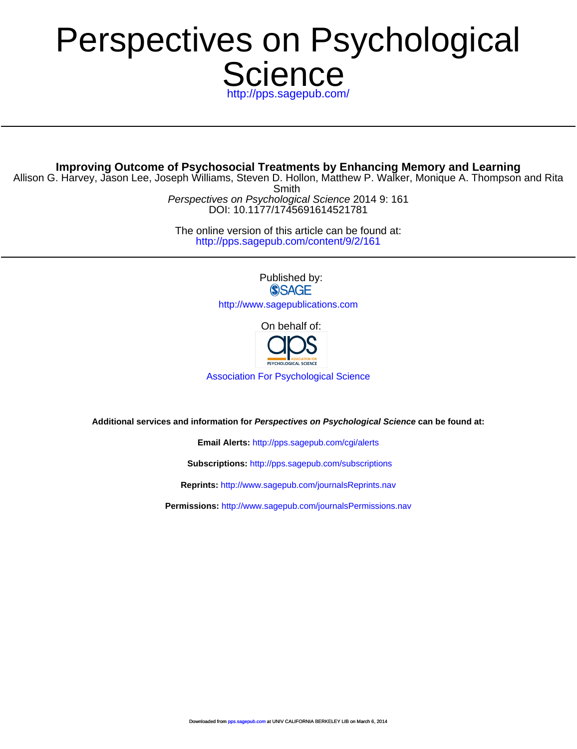# **Science** <http://pps.sagepub.com/> Perspectives on Psychological

**Improving Outcome of Psychosoci[al Treatments by Enhancing](http://pps.sagepub.com/subscriptions) Memory and Learning**

**Smith** Allison G. Harvey, Jason Lee, Joseph Williams, Steven D. Hollon, Matthew P. Walker, Monique A. Thompson and Rita

DOI: 10.1177/1745691614521781 Perspectiv[es on Psychological Science](http://www.sagepub.com/journalsReprints.nav) 2014 9: 161

<http://pps.sagepub.com/content/9/2/161> The online version of this article can be found at:

> Published by: **SSAGE**

<http://www.sagepublications.com>

On behalf of:



[Association For Psychological Science](http://www.psychologicalscience.org)

**Additional services and information for Perspectives on Psychological Science can be found at:**

**Email Alerts:** <http://pps.sagepub.com/cgi/alerts>

**Subscriptions:** <http://pps.sagepub.com/subscriptions>

**Reprints:** <http://www.sagepub.com/journalsReprints.nav>

**Permissions:** <http://www.sagepub.com/journalsPermissions.nav>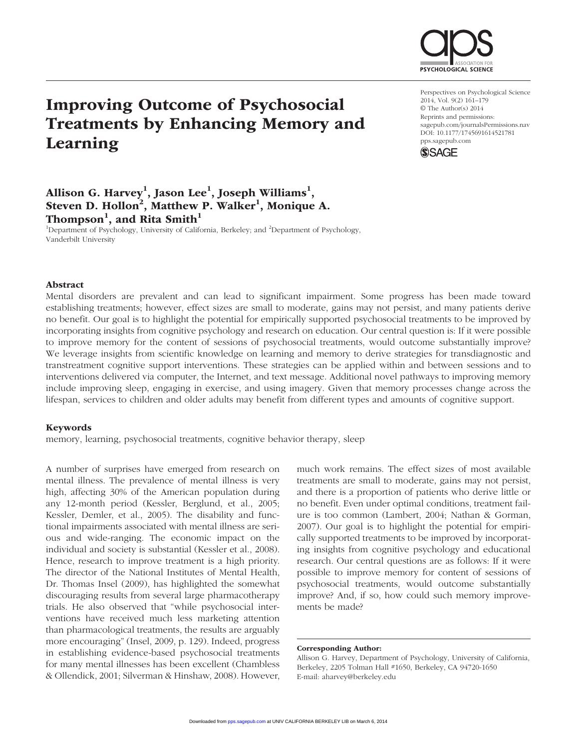# Improving Outcome of Psychosocial Treatments by Enhancing Memory and Learning



Perspectives on Psychological Science 2014, Vol. 9(2) 161–179 © The Author(s) 2014 Reprints and permissions: sagepub.com/journalsPermissions.nav DOI: 10.1177/1745691614521781 pps.sagepub.com



# Allison G. Harvey $^1$ , Jason Lee $^1$ , Joseph Williams $^1,$ Steven D. Hollon<sup>2</sup>, Matthew P. Walker<sup>1</sup>, Monique A. Thompson $^1\!$ , and Rita Smith $^1$

<sup>1</sup>Department of Psychology, University of California, Berkeley; and <sup>2</sup>Department of Psychology, Vanderbilt University

# Abstract

Mental disorders are prevalent and can lead to significant impairment. Some progress has been made toward establishing treatments; however, effect sizes are small to moderate, gains may not persist, and many patients derive no benefit. Our goal is to highlight the potential for empirically supported psychosocial treatments to be improved by incorporating insights from cognitive psychology and research on education. Our central question is: If it were possible to improve memory for the content of sessions of psychosocial treatments, would outcome substantially improve? We leverage insights from scientific knowledge on learning and memory to derive strategies for transdiagnostic and transtreatment cognitive support interventions. These strategies can be applied within and between sessions and to interventions delivered via computer, the Internet, and text message. Additional novel pathways to improving memory include improving sleep, engaging in exercise, and using imagery. Given that memory processes change across the lifespan, services to children and older adults may benefit from different types and amounts of cognitive support.

# Keywords

memory, learning, psychosocial treatments, cognitive behavior therapy, sleep

A number of surprises have emerged from research on mental illness. The prevalence of mental illness is very high, affecting 30% of the American population during any 12-month period (Kessler, Berglund, et al., 2005; Kessler, Demler, et al., 2005). The disability and functional impairments associated with mental illness are serious and wide-ranging. The economic impact on the individual and society is substantial (Kessler et al., 2008). Hence, research to improve treatment is a high priority. The director of the National Institutes of Mental Health, Dr. Thomas Insel (2009), has highlighted the somewhat discouraging results from several large pharmacotherapy trials. He also observed that "while psychosocial interventions have received much less marketing attention than pharmacological treatments, the results are arguably more encouraging" (Insel, 2009, p. 129). Indeed, progress in establishing evidence-based psychosocial treatments for many mental illnesses has been excellent (Chambless & Ollendick, 2001; Silverman & Hinshaw, 2008). However,

much work remains. The effect sizes of most available treatments are small to moderate, gains may not persist, and there is a proportion of patients who derive little or no benefit. Even under optimal conditions, treatment failure is too common (Lambert, 2004; Nathan & Gorman, 2007). Our goal is to highlight the potential for empirically supported treatments to be improved by incorporating insights from cognitive psychology and educational research. Our central questions are as follows: If it were possible to improve memory for content of sessions of psychosocial treatments, would outcome substantially improve? And, if so, how could such memory improvements be made?

#### Corresponding Author:

Allison G. Harvey, Department of Psychology, University of California, Berkeley, 2205 Tolman Hall #1650, Berkeley, CA 94720-1650 E-mail: aharvey@berkeley.edu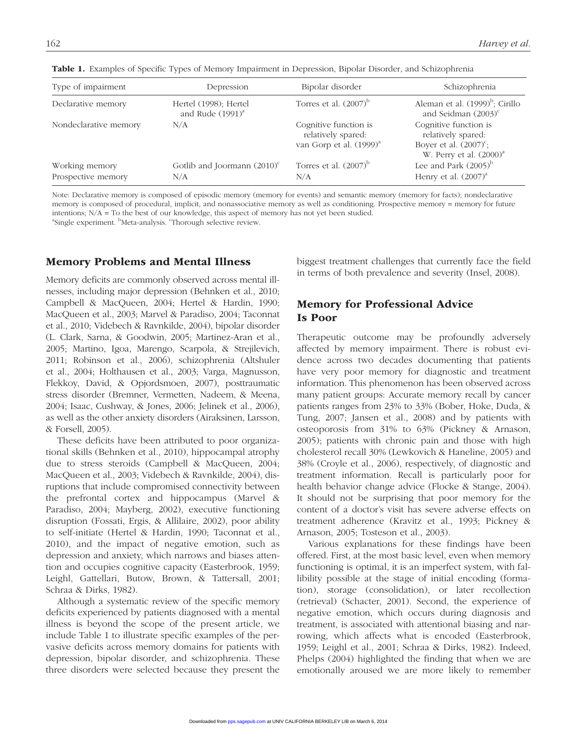| Type of impairment    | Depression                                     | Bipolar disorder                                                                   | Schizophrenia                                                            |
|-----------------------|------------------------------------------------|------------------------------------------------------------------------------------|--------------------------------------------------------------------------|
| Declarative memory    | Hertel (1998); Hertel<br>and Rude $(1991)^{a}$ | Torres et al. $(2007)^b$                                                           | Aleman et al. $(1999)^{b}$ ; Cirillo<br>and Seidman $(2003)^c$           |
| Nondeclarative memory | N/A                                            | Cognitive function is<br>relatively spared:<br>van Gorp et al. (1999) <sup>a</sup> | Cognitive function is<br>relatively spared:<br>Boyer et al. $(2007)^c$ ; |
|                       |                                                |                                                                                    | W. Perry et al. $(2000)^{a}$                                             |
| Working memory        | Gotlib and Joormann $(2010)^c$                 | Torres et al. $(2007)^b$                                                           | Lee and Park $(2005)^b$                                                  |
| Prospective memory    | N/A                                            | N/A                                                                                | Henry et al. $(2007)^a$                                                  |

Table 1. Examples of Specific Types of Memory Impairment in Depression, Bipolar Disorder, and Schizophrenia

Note: Declarative memory is composed of episodic memory (memory for events) and semantic memory (memory for facts); nondeclarative memory is composed of procedural, implicit, and nonassociative memory as well as conditioning. Prospective memory = memory for future intentions;  $N/A = To$  the best of our knowledge, this aspect of memory has not yet been studied.

<sup>a</sup>Single experiment. <sup>b</sup>Meta-analysis. <sup>c</sup>Thorough selective review.

# Memory Problems and Mental Illness

Memory deficits are commonly observed across mental illnesses, including major depression (Behnken et al., 2010; Campbell & MacQueen, 2004; Hertel & Hardin, 1990; MacQueen et al., 2003; Marvel & Paradiso, 2004; Taconnat et al., 2010; Videbech & Ravnkilde, 2004), bipolar disorder (L. Clark, Sarna, & Goodwin, 2005; Martinez-Aran et al., 2005; Martino, Igoa, Marengo, Scarpola, & Strejilevich, 2011; Robinson et al., 2006), schizophrenia (Altshuler et al., 2004; Holthausen et al., 2003; Varga, Magnusson, Flekkoy, David, & Opjordsmoen, 2007), posttraumatic stress disorder (Bremner, Vermetten, Nadeem, & Meena, 2004; Isaac, Cushway, & Jones, 2006; Jelinek et al., 2006), as well as the other anxiety disorders (Airaksinen, Larsson, & Forsell, 2005).

These deficits have been attributed to poor organizational skills (Behnken et al., 2010), hippocampal atrophy due to stress steroids (Campbell & MacQueen, 2004; MacQueen et al., 2003; Videbech & Ravnkilde, 2004), disruptions that include compromised connectivity between the prefrontal cortex and hippocampus (Marvel & Paradiso, 2004; Mayberg, 2002), executive functioning disruption (Fossati, Ergis, & Allilaire, 2002), poor ability to self-initiate (Hertel & Hardin, 1990; Taconnat et al., 2010), and the impact of negative emotion, such as depression and anxiety, which narrows and biases attention and occupies cognitive capacity (Easterbrook, 1959; Leighl, Gattellari, Butow, Brown, & Tattersall, 2001; Schraa & Dirks, 1982).

Although a systematic review of the specific memory deficits experienced by patients diagnosed with a mental illness is beyond the scope of the present article, we include Table 1 to illustrate specific examples of the pervasive deficits across memory domains for patients with depression, bipolar disorder, and schizophrenia. These three disorders were selected because they present the biggest treatment challenges that currently face the field in terms of both prevalence and severity (Insel, 2008).

# Memory for Professional Advice Is Poor

Therapeutic outcome may be profoundly adversely affected by memory impairment. There is robust evidence across two decades documenting that patients have very poor memory for diagnostic and treatment information. This phenomenon has been observed across many patient groups: Accurate memory recall by cancer patients ranges from 23% to 33% (Bober, Hoke, Duda, & Tung, 2007; Jansen et al., 2008) and by patients with osteoporosis from 31% to 63% (Pickney & Arnason, 2005); patients with chronic pain and those with high cholesterol recall 30% (Lewkovich & Haneline, 2005) and 38% (Croyle et al., 2006), respectively, of diagnostic and treatment information. Recall is particularly poor for health behavior change advice (Flocke & Stange, 2004). It should not be surprising that poor memory for the content of a doctor's visit has severe adverse effects on treatment adherence (Kravitz et al., 1993; Pickney & Arnason, 2005; Tosteson et al., 2003).

Various explanations for these findings have been offered. First, at the most basic level, even when memory functioning is optimal, it is an imperfect system, with fallibility possible at the stage of initial encoding (formation), storage (consolidation), or later recollection (retrieval) (Schacter, 2001). Second, the experience of negative emotion, which occurs during diagnosis and treatment, is associated with attentional biasing and narrowing, which affects what is encoded (Easterbrook, 1959; Leighl et al., 2001; Schraa & Dirks, 1982). Indeed, Phelps (2004) highlighted the finding that when we are emotionally aroused we are more likely to remember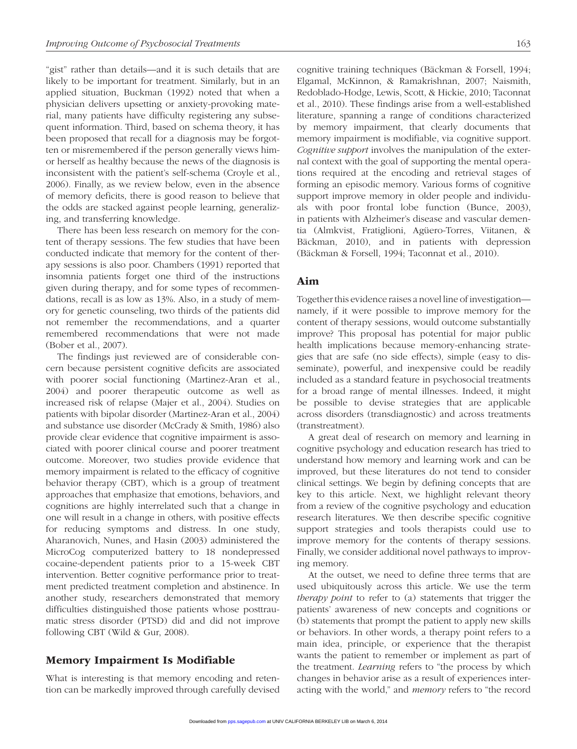"gist" rather than details—and it is such details that are likely to be important for treatment. Similarly, but in an applied situation, Buckman (1992) noted that when a physician delivers upsetting or anxiety-provoking material, many patients have difficulty registering any subsequent information. Third, based on schema theory, it has been proposed that recall for a diagnosis may be forgotten or misremembered if the person generally views himor herself as healthy because the news of the diagnosis is inconsistent with the patient's self-schema (Croyle et al., 2006). Finally, as we review below, even in the absence of memory deficits, there is good reason to believe that the odds are stacked against people learning, generalizing, and transferring knowledge.

There has been less research on memory for the content of therapy sessions. The few studies that have been conducted indicate that memory for the content of therapy sessions is also poor. Chambers (1991) reported that insomnia patients forget one third of the instructions given during therapy, and for some types of recommendations, recall is as low as 13%. Also, in a study of memory for genetic counseling, two thirds of the patients did not remember the recommendations, and a quarter remembered recommendations that were not made (Bober et al., 2007).

The findings just reviewed are of considerable concern because persistent cognitive deficits are associated with poorer social functioning (Martinez-Aran et al., 2004) and poorer therapeutic outcome as well as increased risk of relapse (Majer et al., 2004). Studies on patients with bipolar disorder (Martinez-Aran et al., 2004) and substance use disorder (McCrady & Smith, 1986) also provide clear evidence that cognitive impairment is associated with poorer clinical course and poorer treatment outcome. Moreover, two studies provide evidence that memory impairment is related to the efficacy of cognitive behavior therapy (CBT), which is a group of treatment approaches that emphasize that emotions, behaviors, and cognitions are highly interrelated such that a change in one will result in a change in others, with positive effects for reducing symptoms and distress. In one study, Aharanovich, Nunes, and Hasin (2003) administered the MicroCog computerized battery to 18 nondepressed cocaine-dependent patients prior to a 15-week CBT intervention. Better cognitive performance prior to treatment predicted treatment completion and abstinence. In another study, researchers demonstrated that memory difficulties distinguished those patients whose posttraumatic stress disorder (PTSD) did and did not improve following CBT (Wild & Gur, 2008).

# Memory Impairment Is Modifiable

What is interesting is that memory encoding and retention can be markedly improved through carefully devised cognitive training techniques (Bäckman & Forsell, 1994; Elgamal, McKinnon, & Ramakrishnan, 2007; Naismith, Redoblado-Hodge, Lewis, Scott, & Hickie, 2010; Taconnat et al., 2010). These findings arise from a well-established literature, spanning a range of conditions characterized by memory impairment, that clearly documents that memory impairment is modifiable, via cognitive support. *Cognitive support* involves the manipulation of the external context with the goal of supporting the mental operations required at the encoding and retrieval stages of forming an episodic memory. Various forms of cognitive support improve memory in older people and individuals with poor frontal lobe function (Bunce, 2003), in patients with Alzheimer's disease and vascular dementia (Almkvist, Fratiglioni, Agüero-Torres, Viitanen, &

# Aim

Together this evidence raises a novel line of investigation namely, if it were possible to improve memory for the content of therapy sessions, would outcome substantially improve? This proposal has potential for major public health implications because memory-enhancing strategies that are safe (no side effects), simple (easy to disseminate), powerful, and inexpensive could be readily included as a standard feature in psychosocial treatments for a broad range of mental illnesses. Indeed, it might be possible to devise strategies that are applicable across disorders (transdiagnostic) and across treatments (transtreatment).

Bäckman, 2010), and in patients with depression

(Bäckman & Forsell, 1994; Taconnat et al., 2010).

A great deal of research on memory and learning in cognitive psychology and education research has tried to understand how memory and learning work and can be improved, but these literatures do not tend to consider clinical settings. We begin by defining concepts that are key to this article. Next, we highlight relevant theory from a review of the cognitive psychology and education research literatures. We then describe specific cognitive support strategies and tools therapists could use to improve memory for the contents of therapy sessions. Finally, we consider additional novel pathways to improving memory.

At the outset, we need to define three terms that are used ubiquitously across this article. We use the term *therapy point* to refer to (a) statements that trigger the patients' awareness of new concepts and cognitions or (b) statements that prompt the patient to apply new skills or behaviors. In other words, a therapy point refers to a main idea, principle, or experience that the therapist wants the patient to remember or implement as part of the treatment. *Learning* refers to "the process by which changes in behavior arise as a result of experiences inter[acting wit](http://pps.sagepub.com/)h the world," and *memory* refers to "the record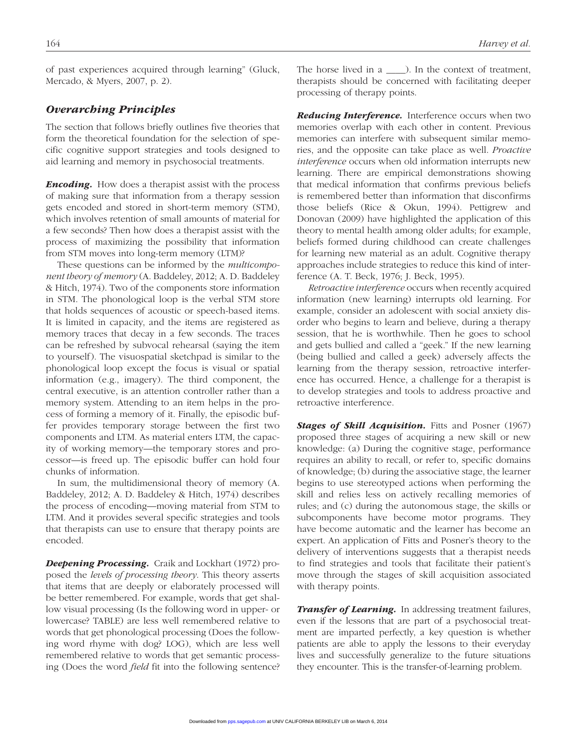of past experiences acquired through learning" (Gluck, Mercado, & Myers, 2007, p. 2).

# *Overarching Principles*

The section that follows briefly outlines five theories that form the theoretical foundation for the selection of specific cognitive support strategies and tools designed to aid learning and memory in psychosocial treatments.

*Encoding.* How does a therapist assist with the process of making sure that information from a therapy session gets encoded and stored in short-term memory (STM), which involves retention of small amounts of material for a few seconds? Then how does a therapist assist with the process of maximizing the possibility that information from STM moves into long-term memory (LTM)?

These questions can be informed by the *multicomponent theory of memory* (A. Baddeley, 2012; A. D. Baddeley & Hitch, 1974). Two of the components store information in STM. The phonological loop is the verbal STM store that holds sequences of acoustic or speech-based items. It is limited in capacity, and the items are registered as memory traces that decay in a few seconds. The traces can be refreshed by subvocal rehearsal (saying the item to yourself). The visuospatial sketchpad is similar to the phonological loop except the focus is visual or spatial information (e.g., imagery). The third component, the central executive, is an attention controller rather than a memory system. Attending to an item helps in the process of forming a memory of it. Finally, the episodic buffer provides temporary storage between the first two components and LTM. As material enters LTM, the capacity of working memory—the temporary stores and processor—is freed up. The episodic buffer can hold four chunks of information.

In sum, the multidimensional theory of memory (A. Baddeley, 2012; A. D. Baddeley & Hitch, 1974) describes the process of encoding—moving material from STM to LTM. And it provides several specific strategies and tools that therapists can use to ensure that therapy points are encoded.

**Deepening Processing.** Craik and Lockhart (1972) proposed the *levels of processing theory*. This theory asserts that items that are deeply or elaborately processed will be better remembered. For example, words that get shallow visual processing (Is the following word in upper- or lowercase? TABLE) are less well remembered relative to words that get phonological processing (Does the following word rhyme with dog? LOG), which are less well remembered relative to words that get semantic processing (Does the word *field* fit into the following sentence? The horse lived in a  $\qquad$ ). In the context of treatment, therapists should be concerned with facilitating deeper processing of therapy points.

**Reducing Interference.** Interference occurs when two memories overlap with each other in content. Previous memories can interfere with subsequent similar memories, and the opposite can take place as well. *Proactive interference* occurs when old information interrupts new learning. There are empirical demonstrations showing that medical information that confirms previous beliefs is remembered better than information that disconfirms those beliefs (Rice & Okun, 1994). Pettigrew and Donovan (2009) have highlighted the application of this theory to mental health among older adults; for example, beliefs formed during childhood can create challenges for learning new material as an adult. Cognitive therapy approaches include strategies to reduce this kind of interference (A. T. Beck, 1976; J. Beck, 1995).

*Retroactive interference* occurs when recently acquired information (new learning) interrupts old learning. For example, consider an adolescent with social anxiety disorder who begins to learn and believe, during a therapy session, that he is worthwhile. Then he goes to school and gets bullied and called a "geek." If the new learning (being bullied and called a geek) adversely affects the learning from the therapy session, retroactive interference has occurred. Hence, a challenge for a therapist is to develop strategies and tools to address proactive and retroactive interference.

*Stages of Skill Acquisition.* Fitts and Posner (1967) proposed three stages of acquiring a new skill or new knowledge: (a) During the cognitive stage, performance requires an ability to recall, or refer to, specific domains of knowledge; (b) during the associative stage, the learner begins to use stereotyped actions when performing the skill and relies less on actively recalling memories of rules; and (c) during the autonomous stage, the skills or subcomponents have become motor programs. They have become automatic and the learner has become an expert. An application of Fitts and Posner's theory to the delivery of interventions suggests that a therapist needs to find strategies and tools that facilitate their patient's move through the stages of skill acquisition associated with therapy points.

**Transfer of Learning.** In addressing treatment failures, even if the lessons that are part of a psychosocial treatment are imparted perfectly, a key question is whether patients are able to apply the lessons to their everyday lives and successfully generalize to the future situations they encounter. This is the transfer-of-learning problem.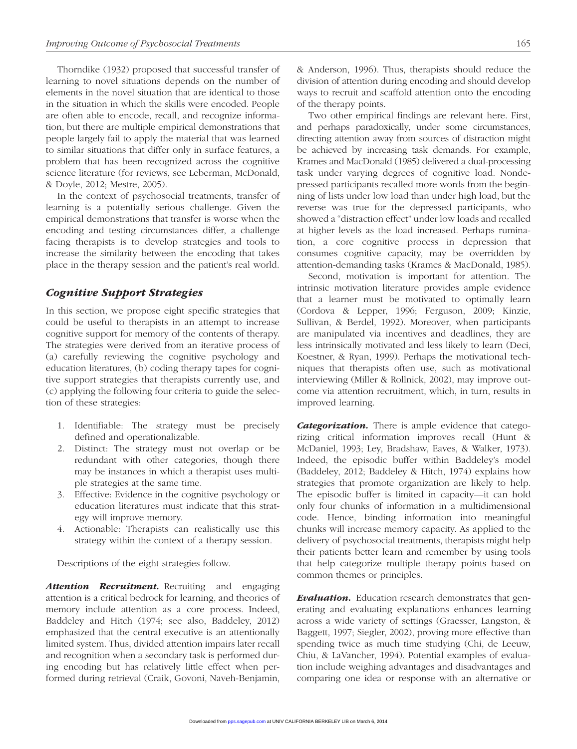Thorndike (1932) proposed that successful transfer of learning to novel situations depends on the number of elements in the novel situation that are identical to those in the situation in which the skills were encoded. People are often able to encode, recall, and recognize information, but there are multiple empirical demonstrations that people largely fail to apply the material that was learned to similar situations that differ only in surface features, a problem that has been recognized across the cognitive science literature (for reviews, see Leberman, McDonald, & Doyle, 2012; Mestre, 2005).

In the context of psychosocial treatments, transfer of learning is a potentially serious challenge. Given the empirical demonstrations that transfer is worse when the encoding and testing circumstances differ, a challenge facing therapists is to develop strategies and tools to increase the similarity between the encoding that takes place in the therapy session and the patient's real world.

# *Cognitive Support Strategies*

In this section, we propose eight specific strategies that could be useful to therapists in an attempt to increase cognitive support for memory of the contents of therapy. The strategies were derived from an iterative process of (a) carefully reviewing the cognitive psychology and education literatures, (b) coding therapy tapes for cognitive support strategies that therapists currently use, and (c) applying the following four criteria to guide the selection of these strategies:

- 1. Identifiable: The strategy must be precisely defined and operationalizable.
- 2. Distinct: The strategy must not overlap or be redundant with other categories, though there may be instances in which a therapist uses multiple strategies at the same time.
- 3. Effective: Evidence in the cognitive psychology or education literatures must indicate that this strategy will improve memory.
- 4. Actionable: Therapists can realistically use this strategy within the context of a therapy session.

Descriptions of the eight strategies follow.

*Attention Recruitment.* Recruiting and engaging attention is a critical bedrock for learning, and theories of memory include attention as a core process. Indeed, Baddeley and Hitch (1974; see also, Baddeley, 2012) emphasized that the central executive is an attentionally limited system. Thus, divided attention impairs later recall and recognition when a secondary task is performed during encoding but has relatively little effect when performed during retrieval (Craik, Govoni, Naveh-Benjamin, & Anderson, 1996). Thus, therapists should reduce the division of attention during encoding and should develop ways to recruit and scaffold attention onto the encoding of the therapy points.

Two other empirical findings are relevant here. First, and perhaps paradoxically, under some circumstances, directing attention away from sources of distraction might be achieved by increasing task demands. For example, Krames and MacDonald (1985) delivered a dual-processing task under varying degrees of cognitive load. Nondepressed participants recalled more words from the beginning of lists under low load than under high load, but the reverse was true for the depressed participants, who showed a "distraction effect" under low loads and recalled at higher levels as the load increased. Perhaps rumination, a core cognitive process in depression that consumes cognitive capacity, may be overridden by attention-demanding tasks (Krames & MacDonald, 1985).

Second, motivation is important for attention. The intrinsic motivation literature provides ample evidence that a learner must be motivated to optimally learn (Cordova & Lepper, 1996; Ferguson, 2009; Kinzie, Sullivan, & Berdel, 1992). Moreover, when participants are manipulated via incentives and deadlines, they are less intrinsically motivated and less likely to learn (Deci, Koestner, & Ryan, 1999). Perhaps the motivational techniques that therapists often use, such as motivational interviewing (Miller & Rollnick, 2002), may improve outcome via attention recruitment, which, in turn, results in improved learning.

*Categorization.* There is ample evidence that categorizing critical information improves recall (Hunt & McDaniel, 1993; Ley, Bradshaw, Eaves, & Walker, 1973). Indeed, the episodic buffer within Baddeley's model (Baddeley, 2012; Baddeley & Hitch, 1974) explains how strategies that promote organization are likely to help. The episodic buffer is limited in capacity—it can hold only four chunks of information in a multidimensional code. Hence, binding information into meaningful chunks will increase memory capacity. As applied to the delivery of psychosocial treatments, therapists might help their patients better learn and remember by using tools that help categorize multiple therapy points based on common themes or principles.

*Evaluation.* Education research demonstrates that generating and evaluating explanations enhances learning across a wide variety of settings (Graesser, Langston, & Baggett, 1997; Siegler, 2002), proving more effective than spending twice as much time studying (Chi, de Leeuw, Chiu, & LaVancher, 1994). Potential examples of evaluation include weighing advantages and disadvantages and comparing one idea or response with an alternative or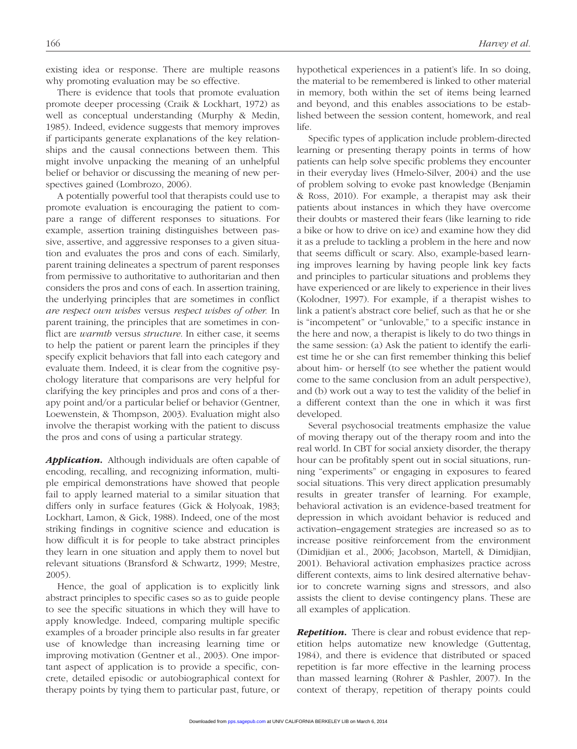existing idea or response. There are multiple reasons why promoting evaluation may be so effective.

There is evidence that tools that promote evaluation promote deeper processing (Craik & Lockhart, 1972) as well as conceptual understanding (Murphy & Medin, 1985). Indeed, evidence suggests that memory improves if participants generate explanations of the key relationships and the causal connections between them. This might involve unpacking the meaning of an unhelpful belief or behavior or discussing the meaning of new perspectives gained (Lombrozo, 2006).

A potentially powerful tool that therapists could use to promote evaluation is encouraging the patient to compare a range of different responses to situations. For example, assertion training distinguishes between passive, assertive, and aggressive responses to a given situation and evaluates the pros and cons of each. Similarly, parent training delineates a spectrum of parent responses from permissive to authoritative to authoritarian and then considers the pros and cons of each. In assertion training, the underlying principles that are sometimes in conflict *are respect own wishes* versus *respect wishes of other.* In parent training, the principles that are sometimes in conflict are *warmth* versus *structure*. In either case, it seems to help the patient or parent learn the principles if they specify explicit behaviors that fall into each category and evaluate them. Indeed, it is clear from the cognitive psychology literature that comparisons are very helpful for clarifying the key principles and pros and cons of a therapy point and/or a particular belief or behavior (Gentner, Loewenstein, & Thompson, 2003). Evaluation might also involve the therapist working with the patient to discuss the pros and cons of using a particular strategy.

*Application.* Although individuals are often capable of encoding, recalling, and recognizing information, multiple empirical demonstrations have showed that people fail to apply learned material to a similar situation that differs only in surface features (Gick & Holyoak, 1983; Lockhart, Lamon, & Gick, 1988). Indeed, one of the most striking findings in cognitive science and education is how difficult it is for people to take abstract principles they learn in one situation and apply them to novel but relevant situations (Bransford & Schwartz, 1999; Mestre, 2005).

Hence, the goal of application is to explicitly link abstract principles to specific cases so as to guide people to see the specific situations in which they will have to apply knowledge. Indeed, comparing multiple specific examples of a broader principle also results in far greater use of knowledge than increasing learning time or improving motivation (Gentner et al., 2003). One important aspect of application is to provide a specific, concrete, detailed episodic or autobiographical context for therapy points by tying them to particular past, future, or hypothetical experiences in a patient's life. In so doing, the material to be remembered is linked to other material in memory, both within the set of items being learned and beyond, and this enables associations to be established between the session content, homework, and real life.

Specific types of application include problem-directed learning or presenting therapy points in terms of how patients can help solve specific problems they encounter in their everyday lives (Hmelo-Silver, 2004) and the use of problem solving to evoke past knowledge (Benjamin & Ross, 2010). For example, a therapist may ask their patients about instances in which they have overcome their doubts or mastered their fears (like learning to ride a bike or how to drive on ice) and examine how they did it as a prelude to tackling a problem in the here and now that seems difficult or scary. Also, example-based learning improves learning by having people link key facts and principles to particular situations and problems they have experienced or are likely to experience in their lives (Kolodner, 1997). For example, if a therapist wishes to link a patient's abstract core belief, such as that he or she is "incompetent" or "unlovable," to a specific instance in the here and now, a therapist is likely to do two things in the same session: (a) Ask the patient to identify the earliest time he or she can first remember thinking this belief about him- or herself (to see whether the patient would come to the same conclusion from an adult perspective), and (b) work out a way to test the validity of the belief in a different context than the one in which it was first developed.

Several psychosocial treatments emphasize the value of moving therapy out of the therapy room and into the real world. In CBT for social anxiety disorder, the therapy hour can be profitably spent out in social situations, running "experiments" or engaging in exposures to feared social situations. This very direct application presumably results in greater transfer of learning. For example, behavioral activation is an evidence-based treatment for depression in which avoidant behavior is reduced and activation–engagement strategies are increased so as to increase positive reinforcement from the environment (Dimidjian et al., 2006; Jacobson, Martell, & Dimidjian, 2001). Behavioral activation emphasizes practice across different contexts, aims to link desired alternative behavior to concrete warning signs and stressors, and also assists the client to devise contingency plans. These are all examples of application.

*Repetition.* There is clear and robust evidence that repetition helps automatize new knowledge (Guttentag, 1984), and there is evidence that distributed or spaced repetition is far more effective in the learning process than massed learning (Rohrer & Pashler, 2007). In the [context o](http://pps.sagepub.com/)f therapy, repetition of therapy points could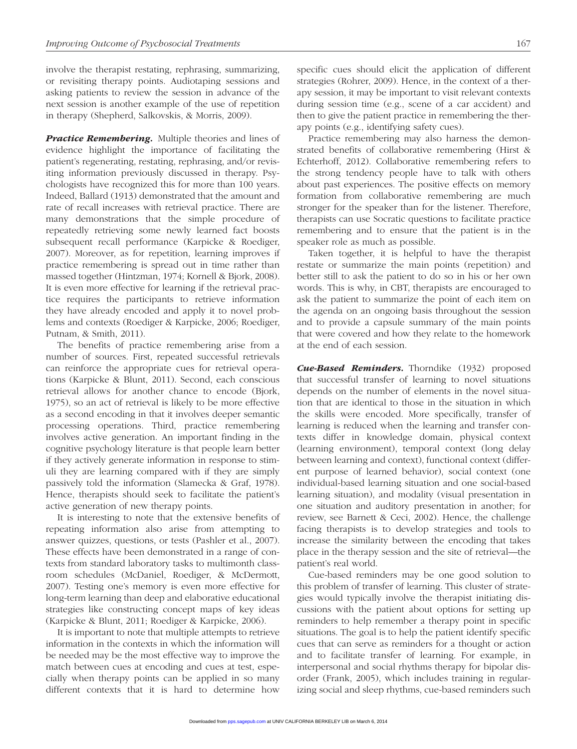involve the therapist restating, rephrasing, summarizing, or revisiting therapy points. Audiotaping sessions and asking patients to review the session in advance of the next session is another example of the use of repetition in therapy (Shepherd, Salkovskis, & Morris, 2009).

*Practice Remembering.* Multiple theories and lines of evidence highlight the importance of facilitating the patient's regenerating, restating, rephrasing, and/or revisiting information previously discussed in therapy. Psychologists have recognized this for more than 100 years. Indeed, Ballard (1913) demonstrated that the amount and rate of recall increases with retrieval practice. There are many demonstrations that the simple procedure of repeatedly retrieving some newly learned fact boosts subsequent recall performance (Karpicke & Roediger, 2007). Moreover, as for repetition, learning improves if practice remembering is spread out in time rather than massed together (Hintzman, 1974; Kornell & Bjork, 2008). It is even more effective for learning if the retrieval practice requires the participants to retrieve information they have already encoded and apply it to novel problems and contexts (Roediger & Karpicke, 2006; Roediger, Putnam, & Smith, 2011).

The benefits of practice remembering arise from a number of sources. First, repeated successful retrievals can reinforce the appropriate cues for retrieval operations (Karpicke & Blunt, 2011). Second, each conscious retrieval allows for another chance to encode (Bjork, 1975), so an act of retrieval is likely to be more effective as a second encoding in that it involves deeper semantic processing operations. Third, practice remembering involves active generation. An important finding in the cognitive psychology literature is that people learn better if they actively generate information in response to stimuli they are learning compared with if they are simply passively told the information (Slamecka & Graf, 1978). Hence, therapists should seek to facilitate the patient's active generation of new therapy points.

It is interesting to note that the extensive benefits of repeating information also arise from attempting to answer quizzes, questions, or tests (Pashler et al., 2007). These effects have been demonstrated in a range of contexts from standard laboratory tasks to multimonth classroom schedules (McDaniel, Roediger, & McDermott, 2007). Testing one's memory is even more effective for long-term learning than deep and elaborative educational strategies like constructing concept maps of key ideas (Karpicke & Blunt, 2011; Roediger & Karpicke, 2006).

It is important to note that multiple attempts to retrieve information in the contexts in which the information will be needed may be the most effective way to improve the match between cues at encoding and cues at test, especially when therapy points can be applied in so many different contexts that it is hard to determine how

specific cues should elicit the application of different strategies (Rohrer, 2009). Hence, in the context of a therapy session, it may be important to visit relevant contexts during session time (e.g., scene of a car accident) and then to give the patient practice in remembering the therapy points (e.g., identifying safety cues).

Practice remembering may also harness the demonstrated benefits of collaborative remembering (Hirst & Echterhoff, 2012). Collaborative remembering refers to the strong tendency people have to talk with others about past experiences. The positive effects on memory formation from collaborative remembering are much stronger for the speaker than for the listener. Therefore, therapists can use Socratic questions to facilitate practice remembering and to ensure that the patient is in the speaker role as much as possible.

Taken together, it is helpful to have the therapist restate or summarize the main points (repetition) and better still to ask the patient to do so in his or her own words. This is why, in CBT, therapists are encouraged to ask the patient to summarize the point of each item on the agenda on an ongoing basis throughout the session and to provide a capsule summary of the main points that were covered and how they relate to the homework at the end of each session.

*Cue-Based Reminders.* Thorndike (1932) proposed that successful transfer of learning to novel situations depends on the number of elements in the novel situation that are identical to those in the situation in which the skills were encoded. More specifically, transfer of learning is reduced when the learning and transfer contexts differ in knowledge domain, physical context (learning environment), temporal context (long delay between learning and context), functional context (different purpose of learned behavior), social context (one individual-based learning situation and one social-based learning situation), and modality (visual presentation in one situation and auditory presentation in another; for review, see Barnett & Ceci, 2002). Hence, the challenge facing therapists is to develop strategies and tools to increase the similarity between the encoding that takes place in the therapy session and the site of retrieval—the patient's real world.

Cue-based reminders may be one good solution to this problem of transfer of learning. This cluster of strategies would typically involve the therapist initiating discussions with the patient about options for setting up reminders to help remember a therapy point in specific situations. The goal is to help the patient identify specific cues that can serve as reminders for a thought or action and to facilitate transfer of learning. For example, in interpersonal and social rhythms therapy for bipolar disorder (Frank, 2005), which includes training in regular[izing socia](http://pps.sagepub.com/)l and sleep rhythms, cue-based reminders such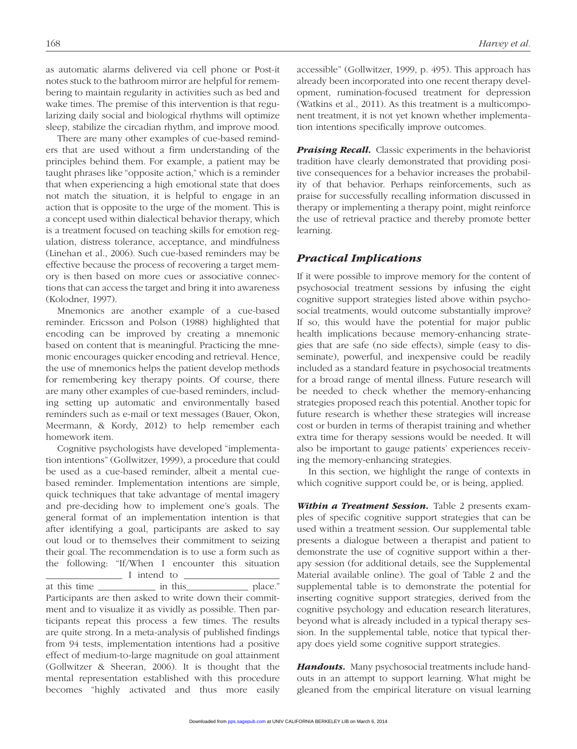as automatic alarms delivered via cell phone or Post-it notes stuck to the bathroom mirror are helpful for remembering to maintain regularity in activities such as bed and wake times. The premise of this intervention is that regularizing daily social and biological rhythms will optimize sleep, stabilize the circadian rhythm, and improve mood.

There are many other examples of cue-based reminders that are used without a firm understanding of the principles behind them. For example, a patient may be taught phrases like "opposite action," which is a reminder that when experiencing a high emotional state that does not match the situation, it is helpful to engage in an action that is opposite to the urge of the moment. This is a concept used within dialectical behavior therapy, which is a treatment focused on teaching skills for emotion regulation, distress tolerance, acceptance, and mindfulness (Linehan et al., 2006). Such cue-based reminders may be effective because the process of recovering a target memory is then based on more cues or associative connections that can access the target and bring it into awareness (Kolodner, 1997).

Mnemonics are another example of a cue-based reminder. Ericsson and Polson (1988) highlighted that encoding can be improved by creating a mnemonic based on content that is meaningful. Practicing the mnemonic encourages quicker encoding and retrieval. Hence, the use of mnemonics helps the patient develop methods for remembering key therapy points. Of course, there are many other examples of cue-based reminders, including setting up automatic and environmentally based reminders such as e-mail or text messages (Bauer, Okon, Meermann, & Kordy, 2012) to help remember each homework item.

Cognitive psychologists have developed "implementation intentions" (Gollwitzer, 1999), a procedure that could be used as a cue-based reminder, albeit a mental cuebased reminder. Implementation intentions are simple, quick techniques that take advantage of mental imagery and pre-deciding how to implement one's goals. The general format of an implementation intention is that after identifying a goal, participants are asked to say out loud or to themselves their commitment to seizing their goal. The recommendation is to use a form such as the following: "If/When I encounter this situation  $\frac{1}{2}$  I intend to  $\frac{1}{2}$ 

at this time \_\_\_\_\_\_\_\_\_\_\_\_ in this\_\_\_\_\_\_\_\_\_\_\_\_\_ place." Participants are then asked to write down their commitment and to visualize it as vividly as possible. Then participants repeat this process a few times. The results are quite strong. In a meta-analysis of published findings from 94 tests, implementation intentions had a positive effect of medium-to-large magnitude on goal attainment (Gollwitzer & Sheeran, 2006). It is thought that the mental representation established with this procedure becomes "highly activated and thus more easily accessible" (Gollwitzer, 1999, p. 495). This approach has already been incorporated into one recent therapy development, rumination-focused treatment for depression (Watkins et al., 2011). As this treatment is a multicomponent treatment, it is not yet known whether implementation intentions specifically improve outcomes.

*Praising Recall.* Classic experiments in the behaviorist tradition have clearly demonstrated that providing positive consequences for a behavior increases the probability of that behavior. Perhaps reinforcements, such as praise for successfully recalling information discussed in therapy or implementing a therapy point, might reinforce the use of retrieval practice and thereby promote better learning.

# *Practical Implications*

If it were possible to improve memory for the content of psychosocial treatment sessions by infusing the eight cognitive support strategies listed above within psychosocial treatments, would outcome substantially improve? If so, this would have the potential for major public health implications because memory-enhancing strategies that are safe (no side effects), simple (easy to disseminate), powerful, and inexpensive could be readily included as a standard feature in psychosocial treatments for a broad range of mental illness. Future research will be needed to check whether the memory-enhancing strategies proposed reach this potential. Another topic for future research is whether these strategies will increase cost or burden in terms of therapist training and whether extra time for therapy sessions would be needed. It will also be important to gauge patients' experiences receiving the memory-enhancing strategies.

In this section, we highlight the range of contexts in which cognitive support could be, or is being, applied.

*Within a Treatment Session.* Table 2 presents examples of specific cognitive support strategies that can be used within a treatment session. Our supplemental table presents a dialogue between a therapist and patient to demonstrate the use of cognitive support within a therapy session (for additional details, see the Supplemental Material available online). The goal of Table 2 and the supplemental table is to demonstrate the potential for inserting cognitive support strategies, derived from the cognitive psychology and education research literatures, beyond what is already included in a typical therapy session. In the supplemental table, notice that typical therapy does yield some cognitive support strategies.

*Handouts.* Many psychosocial treatments include handouts in an attempt to support learning. What might be [gleaned fr](http://pps.sagepub.com/)om the empirical literature on visual learning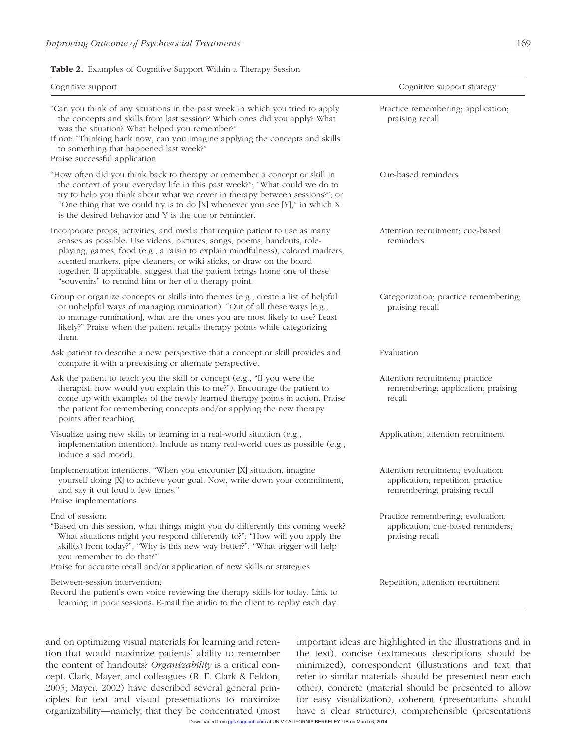Table 2. Examples of Cognitive Support Within a Therapy Session

| Cognitive support                                                                                                                                                                                                                                                                                                                                                                                                                                       | Cognitive support strategy                                                                              |
|---------------------------------------------------------------------------------------------------------------------------------------------------------------------------------------------------------------------------------------------------------------------------------------------------------------------------------------------------------------------------------------------------------------------------------------------------------|---------------------------------------------------------------------------------------------------------|
| "Can you think of any situations in the past week in which you tried to apply<br>the concepts and skills from last session? Which ones did you apply? What<br>was the situation? What helped you remember?"<br>If not: "Thinking back now, can you imagine applying the concepts and skills<br>to something that happened last week?"<br>Praise successful application                                                                                  | Practice remembering; application;<br>praising recall                                                   |
| "How often did you think back to therapy or remember a concept or skill in<br>the context of your everyday life in this past week?"; "What could we do to<br>try to help you think about what we cover in therapy between sessions?"; or<br>"One thing that we could try is to do [X] whenever you see [Y]," in which X<br>is the desired behavior and Y is the cue or reminder.                                                                        | Cue-based reminders                                                                                     |
| Incorporate props, activities, and media that require patient to use as many<br>senses as possible. Use videos, pictures, songs, poems, handouts, role-<br>playing, games, food (e.g., a raisin to explain mindfulness), colored markers,<br>scented markers, pipe cleaners, or wiki sticks, or draw on the board<br>together. If applicable, suggest that the patient brings home one of these<br>"souvenirs" to remind him or her of a therapy point. | Attention recruitment; cue-based<br>reminders                                                           |
| Group or organize concepts or skills into themes (e.g., create a list of helpful<br>or unhelpful ways of managing rumination). "Out of all these ways [e.g.,<br>to manage rumination], what are the ones you are most likely to use? Least<br>likely?" Praise when the patient recalls therapy points while categorizing<br>them.                                                                                                                       | Categorization; practice remembering;<br>praising recall                                                |
| Ask patient to describe a new perspective that a concept or skill provides and<br>compare it with a preexisting or alternate perspective.                                                                                                                                                                                                                                                                                                               | Evaluation                                                                                              |
| Ask the patient to teach you the skill or concept (e.g., "If you were the<br>therapist, how would you explain this to me?"). Encourage the patient to<br>come up with examples of the newly learned therapy points in action. Praise<br>the patient for remembering concepts and/or applying the new therapy<br>points after teaching.                                                                                                                  | Attention recruitment; practice<br>remembering; application; praising<br>recall                         |
| Visualize using new skills or learning in a real-world situation (e.g.,<br>implementation intention). Include as many real-world cues as possible (e.g.,<br>induce a sad mood).                                                                                                                                                                                                                                                                         | Application; attention recruitment                                                                      |
| Implementation intentions: "When you encounter [X] situation, imagine<br>yourself doing [X] to achieve your goal. Now, write down your commitment,<br>and say it out loud a few times."<br>Praise implementations                                                                                                                                                                                                                                       | Attention recruitment; evaluation;<br>application; repetition; practice<br>remembering; praising recall |
| End of session:<br>"Based on this session, what things might you do differently this coming week?<br>What situations might you respond differently to?"; "How will you apply the<br>skill(s) from today?"; "Why is this new way better?"; "What trigger will help<br>you remember to do that?"<br>Praise for accurate recall and/or application of new skills or strategies                                                                             | Practice remembering; evaluation;<br>application; cue-based reminders;<br>praising recall               |
| Between-session intervention:<br>Record the patient's own voice reviewing the therapy skills for today. Link to<br>learning in prior sessions. E-mail the audio to the client to replay each day.                                                                                                                                                                                                                                                       | Repetition; attention recruitment                                                                       |

and on optimizing visual materials for learning and retention that would maximize patients' ability to remember the content of handouts? *Organizability* is a critical concept. Clark, Mayer, and colleagues (R. E. Clark & Feldon, 2005; Mayer, 2002) have described several general principles for text and visual presentations to maximize organizability—namely, that they be concentrated (most

important ideas are highlighted in the illustrations and in the text), concise (extraneous descriptions should be minimized), correspondent (illustrations and text that refer to similar materials should be presented near each [other\), co](http://pps.sagepub.com/)ncrete (material should be presented to allow for easy visualization), coherent (presentations should have a clear structure), comprehensible (presentations

Downloaded fro[m pps.sagepub.com](http://pps.sagepub.com/) at UNIV CALIFORNIA BERKELEY LIB on March 6, 2014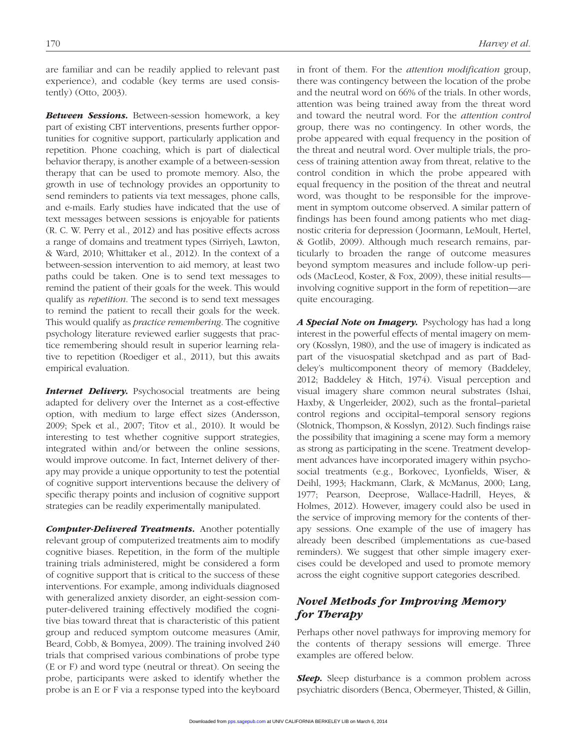are familiar and can be readily applied to relevant past experience), and codable (key terms are used consistently) (Otto, 2003).

*Between Sessions.* Between-session homework, a key part of existing CBT interventions, presents further opportunities for cognitive support, particularly application and repetition. Phone coaching, which is part of dialectical behavior therapy, is another example of a between-session therapy that can be used to promote memory. Also, the growth in use of technology provides an opportunity to send reminders to patients via text messages, phone calls, and e-mails. Early studies have indicated that the use of text messages between sessions is enjoyable for patients (R. C. W. Perry et al., 2012) and has positive effects across a range of domains and treatment types (Sirriyeh, Lawton, & Ward, 2010; Whittaker et al., 2012). In the context of a between-session intervention to aid memory, at least two paths could be taken. One is to send text messages to remind the patient of their goals for the week. This would qualify as *repetition*. The second is to send text messages to remind the patient to recall their goals for the week. This would qualify as *practice remembering*. The cognitive psychology literature reviewed earlier suggests that practice remembering should result in superior learning relative to repetition (Roediger et al., 2011), but this awaits empirical evaluation.

**Internet Delivery.** Psychosocial treatments are being adapted for delivery over the Internet as a cost-effective option, with medium to large effect sizes (Andersson, 2009; Spek et al., 2007; Titov et al., 2010). It would be interesting to test whether cognitive support strategies, integrated within and/or between the online sessions, would improve outcome. In fact, Internet delivery of therapy may provide a unique opportunity to test the potential of cognitive support interventions because the delivery of specific therapy points and inclusion of cognitive support strategies can be readily experimentally manipulated.

*Computer-Delivered Treatments.* Another potentially relevant group of computerized treatments aim to modify cognitive biases. Repetition, in the form of the multiple training trials administered, might be considered a form of cognitive support that is critical to the success of these interventions. For example, among individuals diagnosed with generalized anxiety disorder, an eight-session computer-delivered training effectively modified the cognitive bias toward threat that is characteristic of this patient group and reduced symptom outcome measures (Amir, Beard, Cobb, & Bomyea, 2009). The training involved 240 trials that comprised various combinations of probe type (E or F) and word type (neutral or threat). On seeing the probe, participants were asked to identify whether the probe is an E or F via a response typed into the keyboard

in front of them. For the *attention modification* group, there was contingency between the location of the probe and the neutral word on 66% of the trials. In other words, attention was being trained away from the threat word and toward the neutral word. For the *attention control* group, there was no contingency. In other words, the probe appeared with equal frequency in the position of the threat and neutral word. Over multiple trials, the process of training attention away from threat, relative to the control condition in which the probe appeared with equal frequency in the position of the threat and neutral word, was thought to be responsible for the improvement in symptom outcome observed. A similar pattern of findings has been found among patients who met diagnostic criteria for depression (Joormann, LeMoult, Hertel, & Gotlib, 2009). Although much research remains, particularly to broaden the range of outcome measures beyond symptom measures and include follow-up periods (MacLeod, Koster, & Fox, 2009), these initial results involving cognitive support in the form of repetition—are quite encouraging.

*A Special Note on Imagery.* Psychology has had a long interest in the powerful effects of mental imagery on memory (Kosslyn, 1980), and the use of imagery is indicated as part of the visuospatial sketchpad and as part of Baddeley's multicomponent theory of memory (Baddeley, 2012; Baddeley & Hitch, 1974). Visual perception and visual imagery share common neural substrates (Ishai, Haxby, & Ungerleider, 2002), such as the frontal–parietal control regions and occipital–temporal sensory regions (Slotnick, Thompson, & Kosslyn, 2012). Such findings raise the possibility that imagining a scene may form a memory as strong as participating in the scene. Treatment development advances have incorporated imagery within psychosocial treatments (e.g., Borkovec, Lyonfields, Wiser, & Deihl, 1993; Hackmann, Clark, & McManus, 2000; Lang, 1977; Pearson, Deeprose, Wallace-Hadrill, Heyes, & Holmes, 2012). However, imagery could also be used in the service of improving memory for the contents of therapy sessions. One example of the use of imagery has already been described (implementations as cue-based reminders). We suggest that other simple imagery exercises could be developed and used to promote memory across the eight cognitive support categories described.

# *Novel Methods for Improving Memory for Therapy*

Perhaps other novel pathways for improving memory for the contents of therapy sessions will emerge. Three examples are offered below.

*Sleep.* Sleep disturbance is a common problem across [psychiatric](http://pps.sagepub.com/) disorders (Benca, Obermeyer, Thisted, & Gillin,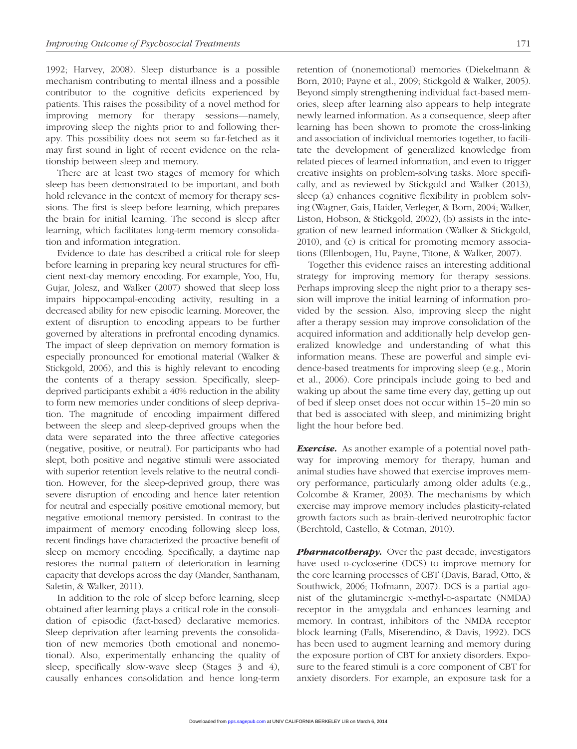1992; Harvey, 2008). Sleep disturbance is a possible mechanism contributing to mental illness and a possible contributor to the cognitive deficits experienced by patients. This raises the possibility of a novel method for improving memory for therapy sessions—namely, improving sleep the nights prior to and following therapy. This possibility does not seem so far-fetched as it may first sound in light of recent evidence on the relationship between sleep and memory.

There are at least two stages of memory for which sleep has been demonstrated to be important, and both hold relevance in the context of memory for therapy sessions. The first is sleep before learning, which prepares the brain for initial learning. The second is sleep after learning, which facilitates long-term memory consolidation and information integration.

Evidence to date has described a critical role for sleep before learning in preparing key neural structures for efficient next-day memory encoding. For example, Yoo, Hu, Gujar, Jolesz, and Walker (2007) showed that sleep loss impairs hippocampal-encoding activity, resulting in a decreased ability for new episodic learning. Moreover, the extent of disruption to encoding appears to be further governed by alterations in prefrontal encoding dynamics. The impact of sleep deprivation on memory formation is especially pronounced for emotional material (Walker & Stickgold, 2006), and this is highly relevant to encoding the contents of a therapy session. Specifically, sleepdeprived participants exhibit a 40% reduction in the ability to form new memories under conditions of sleep deprivation. The magnitude of encoding impairment differed between the sleep and sleep-deprived groups when the data were separated into the three affective categories (negative, positive, or neutral). For participants who had slept, both positive and negative stimuli were associated with superior retention levels relative to the neutral condition. However, for the sleep-deprived group, there was severe disruption of encoding and hence later retention for neutral and especially positive emotional memory, but negative emotional memory persisted. In contrast to the impairment of memory encoding following sleep loss, recent findings have characterized the proactive benefit of sleep on memory encoding. Specifically, a daytime nap restores the normal pattern of deterioration in learning capacity that develops across the day (Mander, Santhanam, Saletin, & Walker, 2011).

In addition to the role of sleep before learning, sleep obtained after learning plays a critical role in the consolidation of episodic (fact-based) declarative memories. Sleep deprivation after learning prevents the consolidation of new memories (both emotional and nonemotional). Also, experimentally enhancing the quality of sleep, specifically slow-wave sleep (Stages 3 and 4), causally enhances consolidation and hence long-term

retention of (nonemotional) memories (Diekelmann & Born, 2010; Payne et al., 2009; Stickgold & Walker, 2005). Beyond simply strengthening individual fact-based memories, sleep after learning also appears to help integrate newly learned information. As a consequence, sleep after learning has been shown to promote the cross-linking and association of individual memories together, to facilitate the development of generalized knowledge from related pieces of learned information, and even to trigger creative insights on problem-solving tasks. More specifically, and as reviewed by Stickgold and Walker (2013), sleep (a) enhances cognitive flexibility in problem solving (Wagner, Gais, Haider, Verleger, & Born, 2004; Walker, Liston, Hobson, & Stickgold, 2002), (b) assists in the integration of new learned information (Walker & Stickgold, 2010), and (c) is critical for promoting memory associations (Ellenbogen, Hu, Payne, Titone, & Walker, 2007).

Together this evidence raises an interesting additional strategy for improving memory for therapy sessions. Perhaps improving sleep the night prior to a therapy session will improve the initial learning of information provided by the session. Also, improving sleep the night after a therapy session may improve consolidation of the acquired information and additionally help develop generalized knowledge and understanding of what this information means. These are powerful and simple evidence-based treatments for improving sleep (e.g., Morin et al., 2006). Core principals include going to bed and waking up about the same time every day, getting up out of bed if sleep onset does not occur within 15–20 min so that bed is associated with sleep, and minimizing bright light the hour before bed.

*Exercise.* As another example of a potential novel pathway for improving memory for therapy, human and animal studies have showed that exercise improves memory performance, particularly among older adults (e.g., Colcombe & Kramer, 2003). The mechanisms by which exercise may improve memory includes plasticity-related growth factors such as brain-derived neurotrophic factor (Berchtold, Castello, & Cotman, 2010).

**Pharmacotherapy.** Over the past decade, investigators have used p-cycloserine (DCS) to improve memory for the core learning processes of CBT (Davis, Barad, Otto, & Southwick, 2006; Hofmann, 2007). DCS is a partial agonist of the glutaminergic N-methyl-D-aspartate (NMDA) receptor in the amygdala and enhances learning and memory. In contrast, inhibitors of the NMDA receptor block learning (Falls, Miserendino, & Davis, 1992). DCS has been used to augment learning and memory during the exposure portion of CBT for anxiety disorders. Exposure to the feared stimuli is a core component of CBT for anxiety disorders. For example, an exposure task for a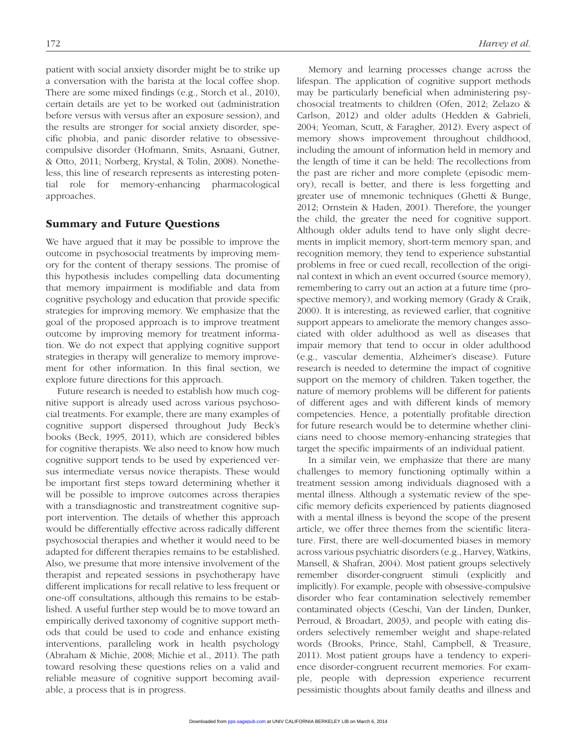patient with social anxiety disorder might be to strike up a conversation with the barista at the local coffee shop. There are some mixed findings (e.g., Storch et al., 2010), certain details are yet to be worked out (administration before versus with versus after an exposure session), and the results are stronger for social anxiety disorder, specific phobia, and panic disorder relative to obsessivecompulsive disorder (Hofmann, Smits, Asnaani, Gutner, & Otto, 2011; Norberg, Krystal, & Tolin, 2008). Nonetheless, this line of research represents as interesting potential role for memory-enhancing pharmacological approaches.

# Summary and Future Questions

We have argued that it may be possible to improve the outcome in psychosocial treatments by improving memory for the content of therapy sessions. The promise of this hypothesis includes compelling data documenting that memory impairment is modifiable and data from cognitive psychology and education that provide specific strategies for improving memory. We emphasize that the goal of the proposed approach is to improve treatment outcome by improving memory for treatment information. We do not expect that applying cognitive support strategies in therapy will generalize to memory improvement for other information. In this final section, we explore future directions for this approach.

Future research is needed to establish how much cognitive support is already used across various psychosocial treatments. For example, there are many examples of cognitive support dispersed throughout Judy Beck's books (Beck, 1995, 2011), which are considered bibles for cognitive therapists. We also need to know how much cognitive support tends to be used by experienced versus intermediate versus novice therapists. These would be important first steps toward determining whether it will be possible to improve outcomes across therapies with a transdiagnostic and transtreatment cognitive support intervention. The details of whether this approach would be differentially effective across radically different psychosocial therapies and whether it would need to be adapted for different therapies remains to be established. Also, we presume that more intensive involvement of the therapist and repeated sessions in psychotherapy have different implications for recall relative to less frequent or one-off consultations, although this remains to be established. A useful further step would be to move toward an empirically derived taxonomy of cognitive support methods that could be used to code and enhance existing interventions, paralleling work in health psychology (Abraham & Michie, 2008; Michie et al., 2011). The path toward resolving these questions relies on a valid and reliable measure of cognitive support becoming available, a process that is in progress.

Memory and learning processes change across the lifespan. The application of cognitive support methods may be particularly beneficial when administering psychosocial treatments to children (Ofen, 2012; Zelazo & Carlson, 2012) and older adults (Hedden & Gabrieli, 2004; Yeoman, Scutt, & Faragher, 2012). Every aspect of memory shows improvement throughout childhood, including the amount of information held in memory and the length of time it can be held: The recollections from the past are richer and more complete (episodic memory), recall is better, and there is less forgetting and greater use of mnemonic techniques (Ghetti & Bunge, 2012; Ornstein & Haden, 2001). Therefore, the younger the child, the greater the need for cognitive support. Although older adults tend to have only slight decrements in implicit memory, short-term memory span, and recognition memory, they tend to experience substantial problems in free or cued recall, recollection of the original context in which an event occurred (source memory), remembering to carry out an action at a future time (prospective memory), and working memory (Grady & Craik, 2000). It is interesting, as reviewed earlier, that cognitive support appears to ameliorate the memory changes associated with older adulthood as well as diseases that impair memory that tend to occur in older adulthood (e.g., vascular dementia, Alzheimer's disease). Future research is needed to determine the impact of cognitive support on the memory of children. Taken together, the nature of memory problems will be different for patients of different ages and with different kinds of memory competencies. Hence, a potentially profitable direction for future research would be to determine whether clinicians need to choose memory-enhancing strategies that target the specific impairments of an individual patient.

In a similar vein, we emphasize that there are many challenges to memory functioning optimally within a treatment session among individuals diagnosed with a mental illness. Although a systematic review of the specific memory deficits experienced by patients diagnosed with a mental illness is beyond the scope of the present article, we offer three themes from the scientific literature. First, there are well-documented biases in memory across various psychiatric disorders (e.g., Harvey, Watkins, Mansell, & Shafran, 2004). Most patient groups selectively remember disorder-congruent stimuli (explicitly and implicitly). For example, people with obsessive-compulsive disorder who fear contamination selectively remember contaminated objects (Ceschi, Van der Linden, Dunker, Perroud, & Broadart, 2003), and people with eating disorders selectively remember weight and shape-related words (Brooks, Prince, Stahl, Campbell, & Treasure, 2011). Most patient groups have a tendency to experience disorder-congruent recurrent memories. For example, people with depression experience recurrent [pessimisti](http://pps.sagepub.com/)c thoughts about family deaths and illness and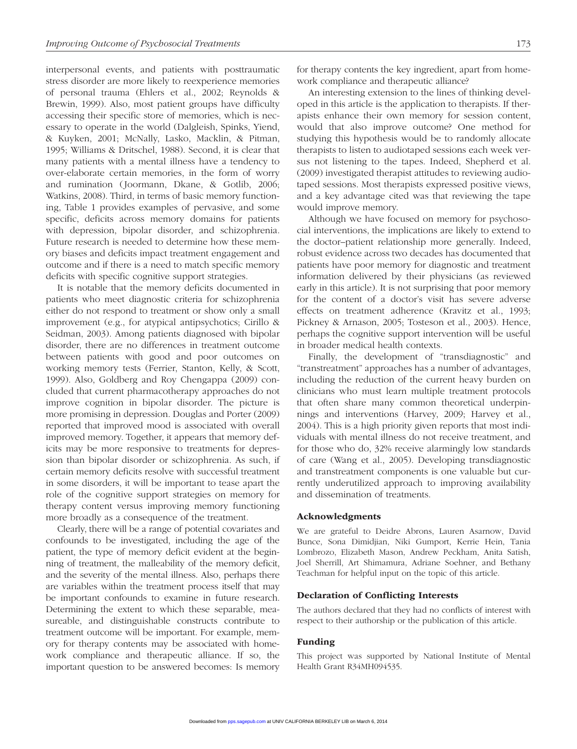interpersonal events, and patients with posttraumatic stress disorder are more likely to reexperience memories of personal trauma (Ehlers et al., 2002; Reynolds & Brewin, 1999). Also, most patient groups have difficulty accessing their specific store of memories, which is necessary to operate in the world (Dalgleish, Spinks, Yiend, & Kuyken, 2001; McNally, Lasko, Macklin, & Pitman, 1995; Williams & Dritschel, 1988). Second, it is clear that many patients with a mental illness have a tendency to over-elaborate certain memories, in the form of worry and rumination (Joormann, Dkane, & Gotlib, 2006; Watkins, 2008). Third, in terms of basic memory functioning, Table 1 provides examples of pervasive, and some specific, deficits across memory domains for patients with depression, bipolar disorder, and schizophrenia. Future research is needed to determine how these memory biases and deficits impact treatment engagement and outcome and if there is a need to match specific memory deficits with specific cognitive support strategies.

It is notable that the memory deficits documented in patients who meet diagnostic criteria for schizophrenia either do not respond to treatment or show only a small improvement (e.g., for atypical antipsychotics; Cirillo & Seidman, 2003). Among patients diagnosed with bipolar disorder, there are no differences in treatment outcome between patients with good and poor outcomes on working memory tests (Ferrier, Stanton, Kelly, & Scott, 1999). Also, Goldberg and Roy Chengappa (2009) concluded that current pharmacotherapy approaches do not improve cognition in bipolar disorder. The picture is more promising in depression. Douglas and Porter (2009) reported that improved mood is associated with overall improved memory. Together, it appears that memory deficits may be more responsive to treatments for depression than bipolar disorder or schizophrenia. As such, if certain memory deficits resolve with successful treatment in some disorders, it will be important to tease apart the role of the cognitive support strategies on memory for therapy content versus improving memory functioning more broadly as a consequence of the treatment.

Clearly, there will be a range of potential covariates and confounds to be investigated, including the age of the patient, the type of memory deficit evident at the beginning of treatment, the malleability of the memory deficit, and the severity of the mental illness. Also, perhaps there are variables within the treatment process itself that may be important confounds to examine in future research. Determining the extent to which these separable, measureable, and distinguishable constructs contribute to treatment outcome will be important. For example, memory for therapy contents may be associated with homework compliance and therapeutic alliance. If so, the important question to be answered becomes: Is memory for therapy contents the key ingredient, apart from homework compliance and therapeutic alliance?

An interesting extension to the lines of thinking developed in this article is the application to therapists. If therapists enhance their own memory for session content, would that also improve outcome? One method for studying this hypothesis would be to randomly allocate therapists to listen to audiotaped sessions each week versus not listening to the tapes. Indeed, Shepherd et al. (2009) investigated therapist attitudes to reviewing audiotaped sessions. Most therapists expressed positive views, and a key advantage cited was that reviewing the tape would improve memory.

Although we have focused on memory for psychosocial interventions, the implications are likely to extend to the doctor–patient relationship more generally. Indeed, robust evidence across two decades has documented that patients have poor memory for diagnostic and treatment information delivered by their physicians (as reviewed early in this article). It is not surprising that poor memory for the content of a doctor's visit has severe adverse effects on treatment adherence (Kravitz et al., 1993; Pickney & Arnason, 2005; Tosteson et al., 2003). Hence, perhaps the cognitive support intervention will be useful in broader medical health contexts.

Finally, the development of "transdiagnostic" and "transtreatment" approaches has a number of advantages, including the reduction of the current heavy burden on clinicians who must learn multiple treatment protocols that often share many common theoretical underpinnings and interventions (Harvey, 2009; Harvey et al., 2004). This is a high priority given reports that most individuals with mental illness do not receive treatment, and for those who do, 32% receive alarmingly low standards of care (Wang et al., 2005). Developing transdiagnostic and transtreatment components is one valuable but currently underutilized approach to improving availability and dissemination of treatments.

### Acknowledgments

We are grateful to Deidre Abrons, Lauren Asarnow, David Bunce, Sona Dimidjian, Niki Gumport, Kerrie Hein, Tania Lombrozo, Elizabeth Mason, Andrew Peckham, Anita Satish, Joel Sherrill, Art Shimamura, Adriane Soehner, and Bethany Teachman for helpful input on the topic of this article.

# Declaration of Conflicting Interests

The authors declared that they had no conflicts of interest with respect to their authorship or the publication of this article.

# Funding

This project was supported by National Institute of Mental Health Grant R34MH094535.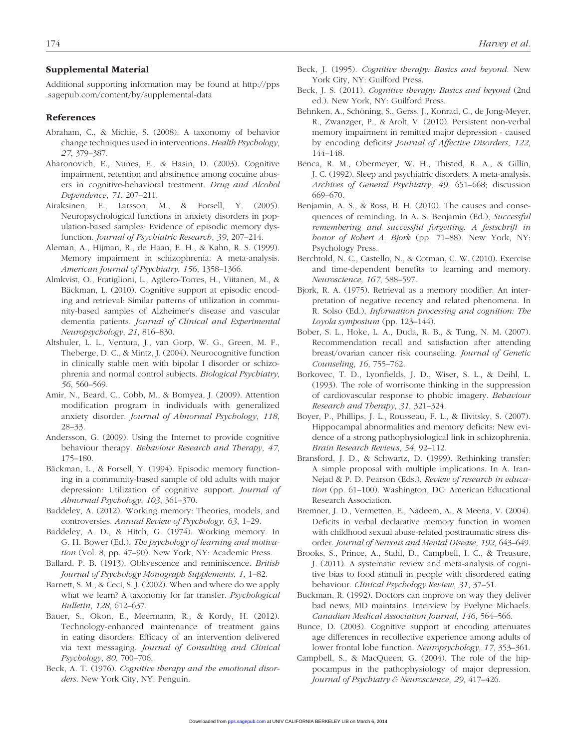### Supplemental Material

[Additional supporting information may be found at http://pps](http://pps.sagepub.com/content/by/supplemental-data) .sagepub.com/content/by/supplemental-data

### References

- Abraham, C., & Michie, S. (2008). A taxonomy of behavior change techniques used in interventions. *Health Psychology*, *27*, 379–387.
- Aharonovich, E., Nunes, E., & Hasin, D. (2003). Cognitive impairment, retention and abstinence among cocaine abusers in cognitive-behavioral treatment. *Drug and Alcohol Dependence*, *71*, 207–211.
- Airaksinen, E., Larsson, M., & Forsell, Y. (2005). Neuropsychological functions in anxiety disorders in population-based samples: Evidence of episodic memory dysfunction. *Journal of Psychiatric Research*, *39*, 207–214.
- Aleman, A., Hijman, R., de Haan, E. H., & Kahn, R. S. (1999). Memory impairment in schizophrenia: A meta-analysis. *American Journal of Psychiatry*, *156*, 1358–1366.
- Almkvist, O., Fratiglioni, L., Agüero-Torres, H., Viitanen, M., & Bäckman, L. (2010). Cognitive support at episodic encoding and retrieval: Similar patterns of utilization in community-based samples of Alzheimer's disease and vascular dementia patients. *Journal of Clinical and Experimental Neuropsychology*, *21*, 816–830.
- Altshuler, L. L., Ventura, J., van Gorp, W. G., Green, M. F., Theberge, D. C., & Mintz, J. (2004). Neurocognitive function in clinically stable men with bipolar I disorder or schizophrenia and normal control subjects. *Biological Psychiatry*, *56*, 560–569.
- Amir, N., Beard, C., Cobb, M., & Bomyea, J. (2009). Attention modification program in individuals with generalized anxiety disorder. *Journal of Abnormal Psychology*, *118*, 28–33.
- Andersson, G. (2009). Using the Internet to provide cognitive behaviour therapy. *Behaviour Research and Therapy*, *47*, 175–180.
- Bäckman, L., & Forsell, Y. (1994). Episodic memory functioning in a community-based sample of old adults with major depression: Utilization of cognitive support. *Journal of Abnormal Psychology*, *103*, 361–370.
- Baddeley, A. (2012). Working memory: Theories, models, and controversies. *Annual Review of Psychology*, *63*, 1–29.
- Baddeley, A. D., & Hitch, G. (1974). Working memory. In G. H. Bower (Ed.), *The psychology of learning and motivation* (Vol. 8, pp. 47–90). New York, NY: Academic Press.
- Ballard, P. B. (1913). Oblivescence and reminiscence. *British Journal of Psychology Monograph Supplements*, *1*, 1–82.
- Barnett, S. M., & Ceci, S. J. (2002). When and where do we apply what we learn? A taxonomy for far transfer. *Psychological Bulletin*, *128*, 612–637.
- Bauer, S., Okon, E., Meermann, R., & Kordy, H. (2012). Technology-enhanced maintenance of treatment gains in eating disorders: Efficacy of an intervention delivered via text messaging. *Journal of Consulting and Clinical Psychology*, *80*, 700–706.
- Beck, A. T. (1976). *Cognitive therapy and the emotional disorders*. New York City, NY: Penguin.
- Beck, J. (1995). *Cognitive therapy: Basics and beyond*. New York City, NY: Guilford Press.
- Beck, J. S. (2011). *Cognitive therapy: Basics and beyond* (2nd ed.). New York, NY: Guilford Press.
- Behnken, A., Schöning, S., Gerss, J., Konrad, C., de Jong-Meyer, R., Zwanzger, P., & Arolt, V. (2010). Persistent non-verbal memory impairment in remitted major depression - caused by encoding deficits? *Journal of Affective Disorders*, *122*, 144–148.
- Benca, R. M., Obermeyer, W. H., Thisted, R. A., & Gillin, J. C. (1992). Sleep and psychiatric disorders. A meta-analysis. *Archives of General Psychiatry*, *49*, 651–668; discussion 669–670.
- Benjamin, A. S., & Ross, B. H. (2010). The causes and consequences of reminding. In A. S. Benjamin (Ed.), *Successful remembering and successful forgetting: A festschrift in honor of Robert A. Bjork* (pp. 71–88). New York, NY: Psychology Press.
- Berchtold, N. C., Castello, N., & Cotman, C. W. (2010). Exercise and time-dependent benefits to learning and memory. *Neuroscience*, *167*, 588–597.
- Bjork, R. A. (1975). Retrieval as a memory modifier: An interpretation of negative recency and related phenomena. In R. Solso (Ed.), *Information processing and cognition: The Loyola symposium* (pp. 123–144).
- Bober, S. L., Hoke, L. A., Duda, R. B., & Tung, N. M. (2007). Recommendation recall and satisfaction after attending breast/ovarian cancer risk counseling. *Journal of Genetic Counseling*, *16*, 755–762.
- Borkovec, T. D., Lyonfields, J. D., Wiser, S. L., & Deihl, L. (1993). The role of worrisome thinking in the suppression of cardiovascular response to phobic imagery. *Behaviour Research and Therapy*, *31*, 321–324.
- Boyer, P., Phillips, J. L., Rousseau, F. L., & Ilivitsky, S. (2007). Hippocampal abnormalities and memory deficits: New evidence of a strong pathophysiological link in schizophrenia. *Brain Research Reviews*, *54*, 92–112.
- Bransford, J. D., & Schwartz, D. (1999). Rethinking transfer: A simple proposal with multiple implications. In A. Iran-Nejad & P. D. Pearson (Eds.), *Review of research in education* (pp. 61–100). Washington, DC: American Educational Research Association.
- Bremner, J. D., Vermetten, E., Nadeem, A., & Meena, V. (2004). Deficits in verbal declarative memory function in women with childhood sexual abuse-related posttraumatic stress disorder. *Journal of Nervous and Mental Disease*, *192*, 643–649.
- Brooks, S., Prince, A., Stahl, D., Campbell, I. C., & Treasure, J. (2011). A systematic review and meta-analysis of cognitive bias to food stimuli in people with disordered eating behaviour. *Clinical Psychology Review*, *31*, 37–51.
- Buckman, R. (1992). Doctors can improve on way they deliver bad news, MD maintains. Interview by Evelyne Michaels. *Canadian Medical Association Journal*, *146*, 564–566.
- Bunce, D. (2003). Cognitive support at encoding attenuates age differences in recollective experience among adults of lower frontal lobe function. *Neuropsychology*, *17*, 353–361.
- Campbell, S., & MacQueen, G. (2004). The role of the hippocampus in the pathophysiology of major depression. *Journal of Psychiatry & Neuroscience*, *29*, 417–426.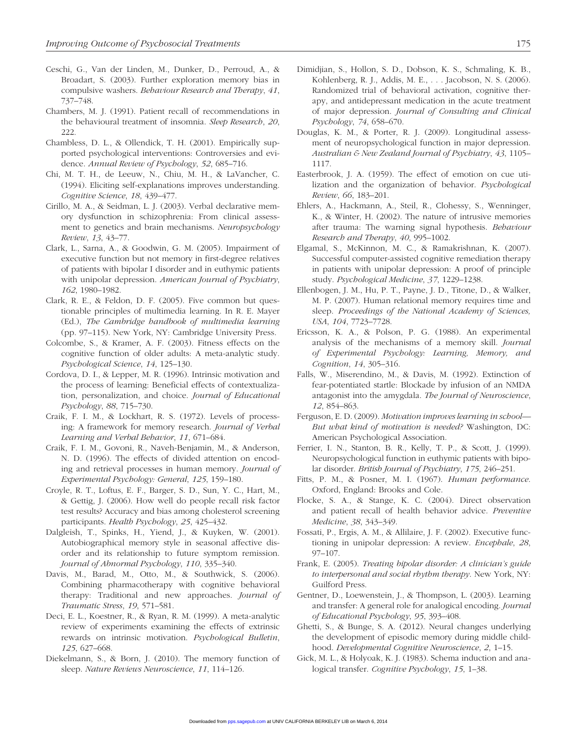- Ceschi, G., Van der Linden, M., Dunker, D., Perroud, A., & Broadart, S. (2003). Further exploration memory bias in compulsive washers. *Behaviour Research and Therapy*, *41*, 737–748.
- Chambers, M. J. (1991). Patient recall of recommendations in the behavioural treatment of insomnia. *Sleep Research*, *20*, 222.
- Chambless, D. L., & Ollendick, T. H. (2001). Empirically supported psychological interventions: Controversies and evidence. *Annual Review of Psychology*, *52*, 685–716.
- Chi, M. T. H., de Leeuw, N., Chiu, M. H., & LaVancher, C. (1994). Eliciting self-explanations improves understanding. *Cognitive Science*, *18*, 439–477.
- Cirillo, M. A., & Seidman, L. J. (2003). Verbal declarative memory dysfunction in schizophrenia: From clinical assessment to genetics and brain mechanisms. *Neuropsychology Review*, *13*, 43–77.
- Clark, L., Sarna, A., & Goodwin, G. M. (2005). Impairment of executive function but not memory in first-degree relatives of patients with bipolar I disorder and in euthymic patients with unipolar depression. *American Journal of Psychiatry*, *162*, 1980–1982.
- Clark, R. E., & Feldon, D. F. (2005). Five common but questionable principles of multimedia learning. In R. E. Mayer (Ed.), *The Cambridge handbook of multimedia learning* (pp. 97–115). New York, NY: Cambridge University Press.
- Colcombe, S., & Kramer, A. F. (2003). Fitness effects on the cognitive function of older adults: A meta-analytic study. *Psychological Science*, *14*, 125–130.
- Cordova, D. I., & Lepper, M. R. (1996). Intrinsic motivation and the process of learning: Beneficial effects of contextualization, personalization, and choice. *Journal of Educational Psychology*, *88*, 715–730.
- Craik, F. I. M., & Lockhart, R. S. (1972). Levels of processing: A framework for memory research. *Journal of Verbal Learning and Verbal Behavior*, *11*, 671–684.
- Craik, F. I. M., Govoni, R., Naveh-Benjamin, M., & Anderson, N. D. (1996). The effects of divided attention on encoding and retrieval processes in human memory. *Journal of Experimental Psychology: General*, *125*, 159–180.
- Croyle, R. T., Loftus, E. F., Barger, S. D., Sun, Y. C., Hart, M., & Gettig, J. (2006). How well do people recall risk factor test results? Accuracy and bias among cholesterol screening participants. *Health Psychology*, *25*, 425–432.
- Dalgleish, T., Spinks, H., Yiend, J., & Kuyken, W. (2001). Autobiographical memory style in seasonal affective disorder and its relationship to future symptom remission. *Journal of Abnormal Psychology*, *110*, 335–340.
- Davis, M., Barad, M., Otto, M., & Southwick, S. (2006). Combining pharmacotherapy with cognitive behavioral therapy: Traditional and new approaches. *Journal of Traumatic Stress*, *19*, 571–581.
- Deci, E. L., Koestner, R., & Ryan, R. M. (1999). A meta-analytic review of experiments examining the effects of extrinsic rewards on intrinsic motivation. *Psychological Bulletin*, *125*, 627–668.
- Diekelmann, S., & Born, J. (2010). The memory function of sleep. *Nature Reviews Neuroscience*, *11*, 114–126.
- Dimidjian, S., Hollon, S. D., Dobson, K. S., Schmaling, K. B., Kohlenberg, R. J., Addis, M. E., . . . Jacobson, N. S. (2006). Randomized trial of behavioral activation, cognitive therapy, and antidepressant medication in the acute treatment of major depression. *Journal of Consulting and Clinical Psychology*, *74*, 658–670.
- Douglas, K. M., & Porter, R. J. (2009). Longitudinal assessment of neuropsychological function in major depression. *Australian & New Zealand Journal of Psychiatry*, *43*, 1105– 1117.
- Easterbrook, J. A. (1959). The effect of emotion on cue utilization and the organization of behavior. *Psychological Review*, *66*, 183–201.
- Ehlers, A., Hackmann, A., Steil, R., Clohessy, S., Wenninger, K., & Winter, H. (2002). The nature of intrusive memories after trauma: The warning signal hypothesis. *Behaviour Research and Therapy*, *40*, 995–1002.
- Elgamal, S., McKinnon, M. C., & Ramakrishnan, K. (2007). Successful computer-assisted cognitive remediation therapy in patients with unipolar depression: A proof of principle study. *Psychological Medicine*, *37*, 1229–1238.
- Ellenbogen, J. M., Hu, P. T., Payne, J. D., Titone, D., & Walker, M. P. (2007). Human relational memory requires time and sleep. *Proceedings of the National Academy of Sciences, USA*, *104*, 7723–7728.
- Ericsson, K. A., & Polson, P. G. (1988). An experimental analysis of the mechanisms of a memory skill. *Journal of Experimental Psychology: Learning, Memory, and Cognition*, *14*, 305–316.
- Falls, W., Miserendino, M., & Davis, M. (1992). Extinction of fear-potentiated startle: Blockade by infusion of an NMDA antagonist into the amygdala. *The Journal of Neuroscience*, *12*, 854–863.
- Ferguson, E. D. (2009). *Motivation improves learning in school— But what kind of motivation is needed?* Washington, DC: American Psychological Association.
- Ferrier, I. N., Stanton, B. R., Kelly, T. P., & Scott, J. (1999). Neuropsychological function in euthymic patients with bipolar disorder. *British Journal of Psychiatry*, *175*, 246–251.
- Fitts, P. M., & Posner, M. I. (1967). *Human performance*. Oxford, England: Brooks and Cole.
- Flocke, S. A., & Stange, K. C. (2004). Direct observation and patient recall of health behavior advice. *Preventive Medicine*, *38*, 343–349.
- Fossati, P., Ergis, A. M., & Allilaire, J. F. (2002). Executive functioning in unipolar depression: A review. *Encephale*, *28*, 97–107.
- Frank, E. (2005). *Treating bipolar disorder: A clinician's guide to interpersonal and social rhythm therapy*. New York, NY: Guilford Press.
- Gentner, D., Loewenstein, J., & Thompson, L. (2003). Learning and transfer: A general role for analogical encoding. *Journal of Educational Psychology*, *95*, 393–408.
- Ghetti, S., & Bunge, S. A. (2012). Neural changes underlying the development of episodic memory during middle childhood. *Developmental Cognitive Neuroscience*, *2*, 1–15.
- Gick, M. L., & Holyoak, K. J. (1983). Schema induction and analogical transfer. *Cognitive Psychology*, *15*, 1–38.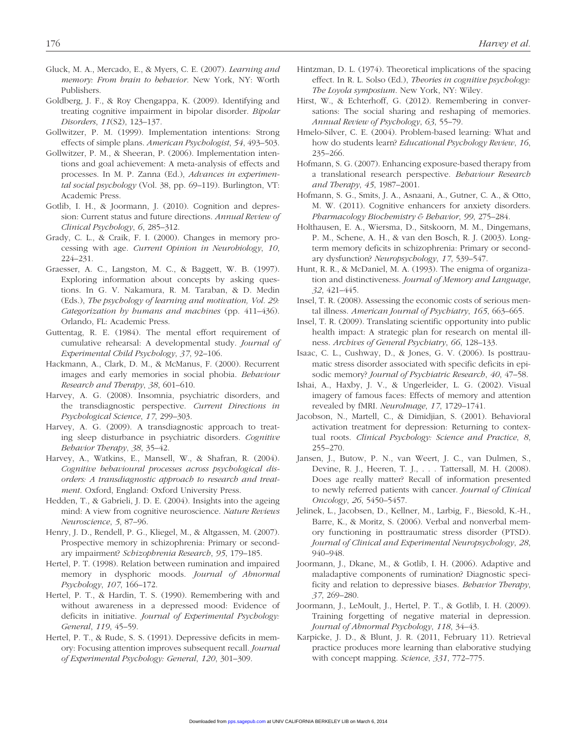- Gluck, M. A., Mercado, E., & Myers, C. E. (2007). *Learning and memory: From brain to behavior*. New York, NY: Worth Publishers.
- Goldberg, J. F., & Roy Chengappa, K. (2009). Identifying and treating cognitive impairment in bipolar disorder. *Bipolar Disorders*, *11*(S2), 123–137.
- Gollwitzer, P. M. (1999). Implementation intentions: Strong effects of simple plans. *American Psychologist*, *54*, 493–503.
- Gollwitzer, P. M., & Sheeran, P. (2006). Implementation intentions and goal achievement: A meta-analysis of effects and processes. In M. P. Zanna (Ed.), *Advances in experimental social psychology* (Vol. 38, pp. 69–119). Burlington, VT: Academic Press.
- Gotlib, I. H., & Joormann, J. (2010). Cognition and depression: Current status and future directions. *Annual Review of Clinical Psychology*, *6*, 285–312.
- Grady, C. L., & Craik, F. I. (2000). Changes in memory processing with age. *Current Opinion in Neurobiology*, *10*, 224–231.
- Graesser, A. C., Langston, M. C., & Baggett, W. B. (1997). Exploring information about concepts by asking questions. In G. V. Nakamura, R. M. Taraban, & D. Medin (Eds.), *The psychology of learning and motivation, Vol. 29: Categorization by humans and machines* (pp. 411–436). Orlando, FL: Academic Press.
- Guttentag, R. E. (1984). The mental effort requirement of cumulative rehearsal: A developmental study. *Journal of Experimental Child Psychology*, *37*, 92–106.
- Hackmann, A., Clark, D. M., & McManus, F. (2000). Recurrent images and early memories in social phobia. *Behaviour Research and Therapy*, *38*, 601–610.
- Harvey, A. G. (2008). Insomnia, psychiatric disorders, and the transdiagnostic perspective. *Current Directions in Psychological Science*, *17*, 299–303.
- Harvey, A. G. (2009). A transdiagnostic approach to treating sleep disturbance in psychiatric disorders. *Cognitive Behavior Therapy*, *38*, 35–42.
- Harvey, A., Watkins, E., Mansell, W., & Shafran, R. (2004). *Cognitive behavioural processes across psychological disorders: A transdiagnostic approach to research and treatment*. Oxford, England: Oxford University Press.
- Hedden, T., & Gabrieli, J. D. E. (2004). Insights into the ageing mind: A view from cognitive neuroscience. *Nature Reviews Neuroscience*, *5*, 87–96.
- Henry, J. D., Rendell, P. G., Kliegel, M., & Altgassen, M. (2007). Prospective memory in schizophrenia: Primary or secondary impairment? *Schizophrenia Research*, *95*, 179–185.
- Hertel, P. T. (1998). Relation between rumination and impaired memory in dysphoric moods. *Journal of Abnormal Psychology*, *107*, 166–172.
- Hertel, P. T., & Hardin, T. S. (1990). Remembering with and without awareness in a depressed mood: Evidence of deficits in initiative. *Journal of Experimental Psychology: General*, *119*, 45–59.
- Hertel, P. T., & Rude, S. S. (1991). Depressive deficits in memory: Focusing attention improves subsequent recall. *Journal of Experimental Psychology: General*, *120*, 301–309.
- Hintzman, D. L. (1974). Theoretical implications of the spacing effect. In R. L. Solso (Ed.), *Theories in cognitive psychology: The Loyola symposium*. New York, NY: Wiley.
- Hirst, W., & Echterhoff, G. (2012). Remembering in conversations: The social sharing and reshaping of memories. *Annual Review of Psychology*, *63*, 55–79.
- Hmelo-Silver, C. E. (2004). Problem-based learning: What and how do students learn? *Educational Psychology Review*, *16*, 235–266.
- Hofmann, S. G. (2007). Enhancing exposure-based therapy from a translational research perspective. *Behaviour Research and Therapy*, *45*, 1987–2001.
- Hofmann, S. G., Smits, J. A., Asnaani, A., Gutner, C. A., & Otto, M. W. (2011). Cognitive enhancers for anxiety disorders. *Pharmacology Biochemistry & Behavior*, *99*, 275–284.
- Holthausen, E. A., Wiersma, D., Sitskoorn, M. M., Dingemans, P. M., Schene, A. H., & van den Bosch, R. J. (2003). Longterm memory deficits in schizophrenia: Primary or secondary dysfunction? *Neuropsychology*, *17*, 539–547.
- Hunt, R. R., & McDaniel, M. A. (1993). The enigma of organization and distinctiveness. *Journal of Memory and Language*, *32*, 421–445.
- Insel, T. R. (2008). Assessing the economic costs of serious mental illness. *American Journal of Psychiatry*, *165*, 663–665.
- Insel, T. R. (2009). Translating scientific opportunity into public health impact: A strategic plan for research on mental illness. *Archives of General Psychiatry*, *66*, 128–133.
- Isaac, C. L., Cushway, D., & Jones, G. V. (2006). Is posttraumatic stress disorder associated with specific deficits in episodic memory? *Journal of Psychiatric Research*, *40*, 47–58.
- Ishai, A., Haxby, J. V., & Ungerleider, L. G. (2002). Visual imagery of famous faces: Effects of memory and attention revealed by fMRI. *NeuroImage*, *17*, 1729–1741.
- Jacobson, N., Martell, C., & Dimidjian, S. (2001). Behavioral activation treatment for depression: Returning to contextual roots. *Clinical Psychology: Science and Practice*, *8*, 255–270.
- Jansen, J., Butow, P. N., van Weert, J. C., van Dulmen, S., Devine, R. J., Heeren, T. J., . . . Tattersall, M. H. (2008). Does age really matter? Recall of information presented to newly referred patients with cancer. *Journal of Clinical Oncology*, *26*, 5450–5457.
- Jelinek, L., Jacobsen, D., Kellner, M., Larbig, F., Biesold, K.-H., Barre, K., & Moritz, S. (2006). Verbal and nonverbal memory functioning in posttraumatic stress disorder (PTSD). *Journal of Clinical and Experimental Neuropsychology*, *28*, 940–948.
- Joormann, J., Dkane, M., & Gotlib, I. H. (2006). Adaptive and maladaptive components of rumination? Diagnostic specificity and relation to depressive biases. *Behavior Therapy*, *37*, 269–280.
- Joormann, J., LeMoult, J., Hertel, P. T., & Gotlib, I. H. (2009). Training forgetting of negative material in depression. *Journal of Abnormal Psychology*, *118*, 34–43.
- Karpicke, J. D., & Blunt, J. R. (2011, February 11). Retrieval practice produces more learning than elaborative studying with concept mapping. *Science*, *331*, 772–775.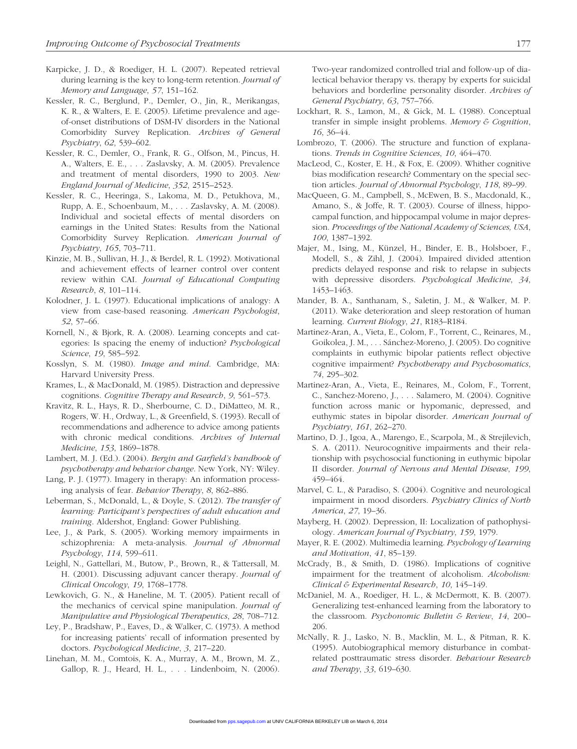- Karpicke, J. D., & Roediger, H. L. (2007). Repeated retrieval during learning is the key to long-term retention. *Journal of Memory and Language*, *57*, 151–162.
- Kessler, R. C., Berglund, P., Demler, O., Jin, R., Merikangas, K. R., & Walters, E. E. (2005). Lifetime prevalence and ageof-onset distributions of DSM-IV disorders in the National Comorbidity Survey Replication. *Archives of General Psychiatry*, *62*, 539–602.
- Kessler, R. C., Demler, O., Frank, R. G., Olfson, M., Pincus, H. A., Walters, E. E., . . . Zaslavsky, A. M. (2005). Prevalence and treatment of mental disorders, 1990 to 2003. *New England Journal of Medicine*, *352*, 2515–2523.
- Kessler, R. C., Heeringa, S., Lakoma, M. D., Petukhova, M., Rupp, A. E., Schoenbaum, M., . . . Zaslavsky, A. M. (2008). Individual and societal effects of mental disorders on earnings in the United States: Results from the National Comorbidity Survey Replication. *American Journal of Psychiatry*, *165*, 703–711.
- Kinzie, M. B., Sullivan, H. J., & Berdel, R. L. (1992). Motivational and achievement effects of learner control over content review within CAI. *Journal of Educational Computing Research*, *8*, 101–114.
- Kolodner, J. L. (1997). Educational implications of analogy: A view from case-based reasoning. *American Psychologist*, *52*, 57–66.
- Kornell, N., & Bjork, R. A. (2008). Learning concepts and categories: Is spacing the enemy of induction? *Psychological Science*, *19*, 585–592.
- Kosslyn, S. M. (1980). *Image and mind*. Cambridge, MA: Harvard University Press.
- Krames, L., & MacDonald, M. (1985). Distraction and depressive cognitions. *Cognitive Therapy and Research*, *9*, 561–573.
- Kravitz, R. L., Hays, R. D., Sherbourne, C. D., DiMatteo, M. R., Rogers, W. H., Ordway, L., & Greenfield, S. (1993). Recall of recommendations and adherence to advice among patients with chronic medical conditions. *Archives of Internal Medicine*, *153*, 1869–1878.
- Lambert, M. J. (Ed.). (2004). *Bergin and Garfield's handbook of psychotherapy and behavior change*. New York, NY: Wiley.
- Lang, P. J. (1977). Imagery in therapy: An information processing analysis of fear. *Behavior Therapy*, *8*, 862–886.
- Leberman, S., McDonald, L., & Doyle, S. (2012). *The transfer of learning: Participant's perspectives of adult education and training*. Aldershot, England: Gower Publishing.
- Lee, J., & Park, S. (2005). Working memory impairments in schizophrenia: A meta-analysis. *Journal of Abnormal Psychology*, *114*, 599–611.
- Leighl, N., Gattellari, M., Butow, P., Brown, R., & Tattersall, M. H. (2001). Discussing adjuvant cancer therapy. *Journal of Clinical Oncology*, *19*, 1768–1778.
- Lewkovich, G. N., & Haneline, M. T. (2005). Patient recall of the mechanics of cervical spine manipulation. *Journal of Manipulative and Physiological Therapeutics*, *28*, 708–712.
- Ley, P., Bradshaw, P., Eaves, D., & Walker, C. (1973). A method for increasing patients' recall of information presented by doctors. *Psychological Medicine*, *3*, 217–220.
- Linehan, M. M., Comtois, K. A., Murray, A. M., Brown, M. Z., Gallop, R. J., Heard, H. L., . . . Lindenboim, N. (2006).

Two-year randomized controlled trial and follow-up of dialectical behavior therapy vs. therapy by experts for suicidal behaviors and borderline personality disorder. *Archives of General Psychiatry*, *63*, 757–766.

- Lockhart, R. S., Lamon, M., & Gick, M. L. (1988). Conceptual transfer in simple insight problems. *Memory & Cognition*, *16*, 36–44.
- Lombrozo, T. (2006). The structure and function of explanations. *Trends in Cognitive Sciences*, *10*, 464–470.
- MacLeod, C., Koster, E. H., & Fox, E. (2009). Whither cognitive bias modification research? Commentary on the special section articles. *Journal of Abnormal Psychology*, *118*, 89–99.
- MacQueen, G. M., Campbell, S., McEwen, B. S., Macdonald, K., Amano, S., & Joffe, R. T. (2003). Course of illness, hippocampal function, and hippocampal volume in major depression. *Proceedings of the National Academy of Sciences, USA*, *100*, 1387–1392.
- Majer, M., Ising, M., Künzel, H., Binder, E. B., Holsboer, F., Modell, S., & Zihl, J. (2004). Impaired divided attention predicts delayed response and risk to relapse in subjects with depressive disorders. *Psychological Medicine*, *34*, 1453–1463.
- Mander, B. A., Santhanam, S., Saletin, J. M., & Walker, M. P. (2011). Wake deterioration and sleep restoration of human learning. *Current Biology*, *21*, R183–R184.
- Martinez-Aran, A., Vieta, E., Colom, F., Torrent, C., Reinares, M., Goikolea, J. M., . . . Sánchez-Moreno, J. (2005). Do cognitive complaints in euthymic bipolar patients reflect objective cognitive impairment? *Psychotherapy and Psychosomatics*, *74*, 295–302.
- Martinez-Aran, A., Vieta, E., Reinares, M., Colom, F., Torrent, C., Sanchez-Moreno, J., . . . Salamero, M. (2004). Cognitive function across manic or hypomanic, depressed, and euthymic states in bipolar disorder. *American Journal of Psychiatry*, *161*, 262–270.
- Martino, D. J., Igoa, A., Marengo, E., Scarpola, M., & Strejilevich, S. A. (2011). Neurocognitive impairments and their relationship with psychosocial functioning in euthymic bipolar II disorder. *Journal of Nervous and Mental Disease*, *199*, 459–464.
- Marvel, C. L., & Paradiso, S. (2004). Cognitive and neurological impairment in mood disorders. *Psychiatry Clinics of North America*, *27*, 19–36.
- Mayberg, H. (2002). Depression, II: Localization of pathophysiology. *American Journal of Psychiatry*, *159*, 1979.
- Mayer, R. E. (2002). Multimedia learning. *Psychology of Learning and Motivation*, *41*, 85–139.
- McCrady, B., & Smith, D. (1986). Implications of cognitive impairment for the treatment of alcoholism. *Alcoholism: Clinical & Experimental Research*, *10*, 145–149.
- McDaniel, M. A., Roediger, H. L., & McDermott, K. B. (2007). Generalizing test-enhanced learning from the laboratory to the classroom. *Psychonomic Bulletin & Review*, *14*, 200– 206.
- McNally, R. J., Lasko, N. B., Macklin, M. L., & Pitman, R. K. (1995). Autobiographical memory disturbance in combatrelated posttraumatic stress disorder. *Behaviour Research and Therapy*, *33*, 619–630.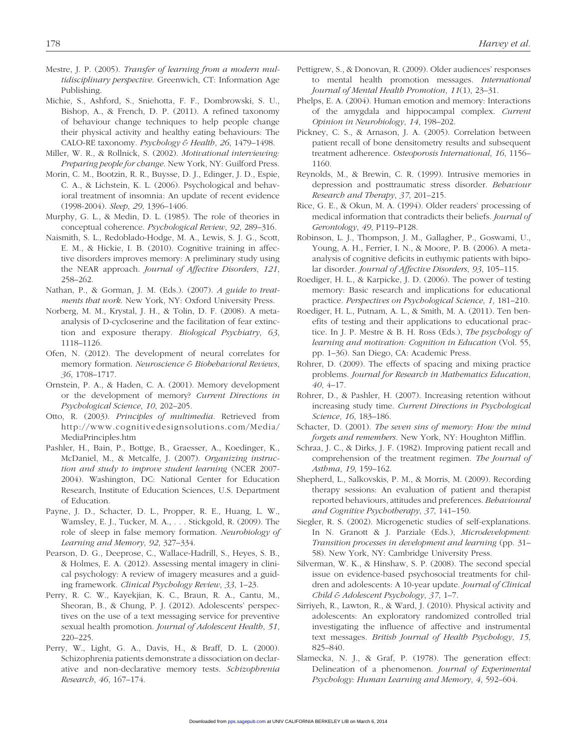- Mestre, J. P. (2005). *Transfer of learning from a modern multidisciplinary perspective*. Greenwich, CT: Information Age Publishing.
- Michie, S., Ashford, S., Sniehotta, F. F., Dombrowski, S. U., Bishop, A., & French, D. P. (2011). A refined taxonomy of behaviour change techniques to help people change their physical activity and healthy eating behaviours: The CALO-RE taxonomy. *Psychology & Health*, *26*, 1479–1498.
- Miller, W. R., & Rollnick, S. (2002). *Motivational interviewing: Preparing people for change*. New York, NY: Guilford Press.
- Morin, C. M., Bootzin, R. R., Buysse, D. J., Edinger, J. D., Espie, C. A., & Lichstein, K. L. (2006). Psychological and behavioral treatment of insomnia: An update of recent evidence (1998-2004). *Sleep*, *29*, 1396–1406.
- Murphy, G. L., & Medin, D. L. (1985). The role of theories in conceptual coherence. *Psychological Review*, *92*, 289–316.
- Naismith, S. L., Redoblado-Hodge, M. A., Lewis, S. J. G., Scott, E. M., & Hickie, I. B. (2010). Cognitive training in affective disorders improves memory: A preliminary study using the NEAR approach. *Journal of Affective Disorders*, *121*, 258–262.
- Nathan, P., & Gorman, J. M. (Eds.). (2007). *A guide to treatments that work*. New York, NY: Oxford University Press.
- Norberg, M. M., Krystal, J. H., & Tolin, D. F. (2008). A metaanalysis of D-cycloserine and the facilitation of fear extinction and exposure therapy. *Biological Psychiatry*, *63*, 1118–1126.
- Ofen, N. (2012). The development of neural correlates for memory formation. *Neuroscience & Biobehavioral Reviews*, *36*, 1708–1717.
- Ornstein, P. A., & Haden, C. A. (2001). Memory development or the development of memory? *Current Directions in Psychological Science*, *10*, 202–205.
- Otto, R. (2003). *Principles of multimedia*. Retrieved from [http://www.cognitivedesignsolutions.com/Media/](http://www.cognitivedesignsolutions.com/Media/MediaPrinciples.htm) MediaPrinciples.htm
- Pashler, H., Bain, P., Bottge, B., Graesser, A., Koedinger, K., McDaniel, M., & Metcalfe, J. (2007). *Organizing instruction and study to improve student learning* (NCER 2007- 2004). Washington, DC: National Center for Education Research, Institute of Education Sciences, U.S. Department of Education.
- Payne, J. D., Schacter, D. L., Propper, R. E., Huang, L. W., Wamsley, E. J., Tucker, M. A., . . . Stickgold, R. (2009). The role of sleep in false memory formation. *Neurobiology of Learning and Memory*, *92*, 327–334.
- Pearson, D. G., Deeprose, C., Wallace-Hadrill, S., Heyes, S. B., & Holmes, E. A. (2012). Assessing mental imagery in clinical psychology: A review of imagery measures and a guiding framework. *Clinical Psychology Review*, *33*, 1–23.
- Perry, R. C. W., Kayekjian, K. C., Braun, R. A., Cantu, M., Sheoran, B., & Chung, P. J. (2012). Adolescents' perspectives on the use of a text messaging service for preventive sexual health promotion. *Journal of Adolescent Health*, *51*, 220–225.
- Perry, W., Light, G. A., Davis, H., & Braff, D. L. (2000). Schizophrenia patients demonstrate a dissociation on declarative and non-declarative memory tests. *Schizophrenia Research*, *46*, 167–174.
- Pettigrew, S., & Donovan, R. (2009). Older audiences' responses to mental health promotion messages. *International Journal of Mental Health Promotion*, *11*(1), 23–31.
- Phelps, E. A. (2004). Human emotion and memory: Interactions of the amygdala and hippocampal complex. *Current Opinion in Neurobiology*, *14*, 198–202.
- Pickney, C. S., & Arnason, J. A. (2005). Correlation between patient recall of bone densitometry results and subsequent treatment adherence. *Osteoporosis International*, *16*, 1156– 1160.
- Reynolds, M., & Brewin, C. R. (1999). Intrusive memories in depression and posttraumatic stress disorder. *Behaviour Research and Therapy*, *37*, 201–215.
- Rice, G. E., & Okun, M. A. (1994). Older readers' processing of medical information that contradicts their beliefs. *Journal of Gerontology*, *49*, P119–P128.
- Robinson, L. J., Thompson, J. M., Gallagher, P., Goswami, U., Young, A. H., Ferrier, I. N., & Moore, P. B. (2006). A metaanalysis of cognitive deficits in euthymic patients with bipolar disorder. *Journal of Affective Disorders*, *93*, 105–115.
- Roediger, H. L., & Karpicke, J. D. (2006). The power of testing memory: Basic research and implications for educational practice. *Perspectives on Psychological Science*, *1*, 181–210.
- Roediger, H. L., Putnam, A. L., & Smith, M. A. (2011). Ten benefits of testing and their applications to educational practice. In J. P. Mestre & B. H. Ross (Eds.), *The psychology of learning and motivation: Cognition in Education* (Vol. 55, pp. 1–36). San Diego, CA: Academic Press.
- Rohrer, D. (2009). The effects of spacing and mixing practice problems. *Journal for Research in Mathematics Education*, *40*, 4–17.
- Rohrer, D., & Pashler, H. (2007). Increasing retention without increasing study time. *Current Directions in Psychological Science*, *16*, 183–186.
- Schacter, D. (2001). *The seven sins of memory: How the mind forgets and remembers*. New York, NY: Houghton Mifflin.
- Schraa, J. C., & Dirks, J. F. (1982). Improving patient recall and comprehension of the treatment regimen. *The Journal of Asthma*, *19*, 159–162.
- Shepherd, L., Salkovskis, P. M., & Morris, M. (2009). Recording therapy sessions: An evaluation of patient and therapist reported behaviours, attitudes and preferences. *Behavioural and Cognitive Psychotherapy*, *37*, 141–150.
- Siegler, R. S. (2002). Microgenetic studies of self-explanations. In N. Granott & J. Parziale (Eds.), *Microdevelopment: Transition processes in development and learning* (pp. 31– 58). New York, NY: Cambridge University Press.
- Silverman, W. K., & Hinshaw, S. P. (2008). The second special issue on evidence-based psychosocial treatments for children and adolescents: A 10-year update. *Journal of Clinical Child & Adolescent Psychology*, *37*, 1–7.
- Sirriyeh, R., Lawton, R., & Ward, J. (2010). Physical activity and adolescents: An exploratory randomized controlled trial investigating the influence of affective and instrumental text messages. *British Journal of Health Psychology*, *15*, 825–840.
- Slamecka, N. J., & Graf, P. (1978). The generation effect: Delineation of a phenomenon. *Journal of Experimental Psychology: Human Learning and Memory*, *4*, 592–604.